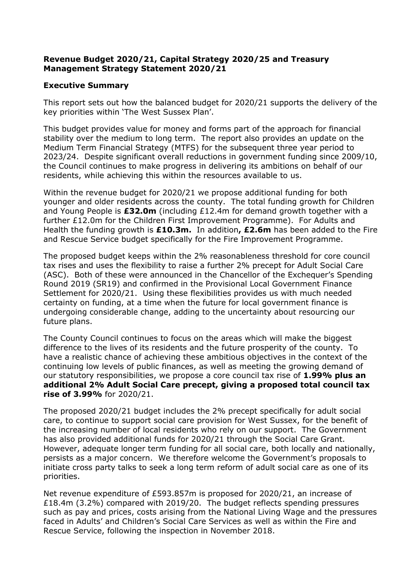### **Revenue Budget 2020/21, Capital Strategy 2020/25 and Treasury Management Strategy Statement 2020/21**

#### **Executive Summary**

This report sets out how the balanced budget for 2020/21 supports the delivery of the key priorities within 'The West Sussex Plan'.

This budget provides value for money and forms part of the approach for financial stability over the medium to long term. The report also provides an update on the Medium Term Financial Strategy (MTFS) for the subsequent three year period to 2023/24. Despite significant overall reductions in government funding since 2009/10, the Council continues to make progress in delivering its ambitions on behalf of our residents, while achieving this within the resources available to us.

Within the revenue budget for 2020/21 we propose additional funding for both younger and older residents across the county. The total funding growth for Children and Young People is **£32.0m** (including £12.4m for demand growth together with a further £12.0m for the Children First Improvement Programme). For Adults and Health the funding growth is **£10.3m.** In addition**, £2.6m** has been added to the Fire and Rescue Service budget specifically for the Fire Improvement Programme.

The proposed budget keeps within the 2% reasonableness threshold for core council tax rises and uses the flexibility to raise a further 2% precept for Adult Social Care (ASC). Both of these were announced in the Chancellor of the Exchequer's Spending Round 2019 (SR19) and confirmed in the Provisional Local Government Finance Settlement for 2020/21. Using these flexibilities provides us with much needed certainty on funding, at a time when the future for local government finance is undergoing considerable change, adding to the uncertainty about resourcing our future plans.

The County Council continues to focus on the areas which will make the biggest difference to the lives of its residents and the future prosperity of the county. To have a realistic chance of achieving these ambitious objectives in the context of the continuing low levels of public finances, as well as meeting the growing demand of our statutory responsibilities, we propose a core council tax rise of **1.99% plus an additional 2% Adult Social Care precept, giving a proposed total council tax rise of 3.99%** for 2020/21.

The proposed 2020/21 budget includes the 2% precept specifically for adult social care, to continue to support social care provision for West Sussex, for the benefit of the increasing number of local residents who rely on our support. The Government has also provided additional funds for 2020/21 through the Social Care Grant. However, adequate longer term funding for all social care, both locally and nationally, persists as a major concern. We therefore welcome the Government's proposals to initiate cross party talks to seek a long term reform of adult social care as one of its priorities.

Net revenue expenditure of £593.857m is proposed for 2020/21, an increase of £18.4m (3.2%) compared with 2019/20. The budget reflects spending pressures such as pay and prices, costs arising from the National Living Wage and the pressures faced in Adults' and Children's Social Care Services as well as within the Fire and Rescue Service, following the inspection in November 2018.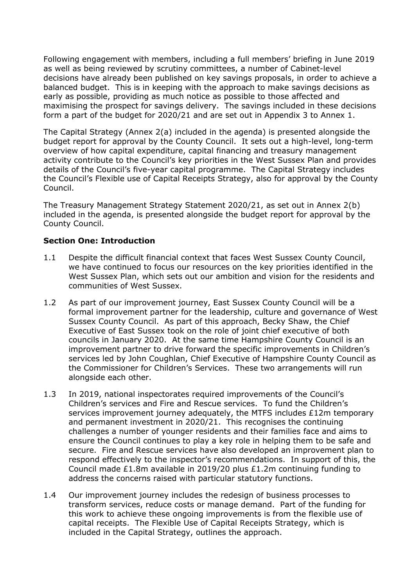Following engagement with members, including a full members' briefing in June 2019 as well as being reviewed by scrutiny committees, a number of Cabinet-level decisions have already been published on key savings proposals, in order to achieve a balanced budget. This is in keeping with the approach to make savings decisions as early as possible, providing as much notice as possible to those affected and maximising the prospect for savings delivery. The savings included in these decisions form a part of the budget for 2020/21 and are set out in Appendix 3 to Annex 1.

The Capital Strategy (Annex 2(a) included in the agenda) is presented alongside the budget report for approval by the County Council. It sets out a high-level, long-term overview of how capital expenditure, capital financing and treasury management activity contribute to the Council's key priorities in the West Sussex Plan and provides details of the Council's five-year capital programme. The Capital Strategy includes the Council's Flexible use of Capital Receipts Strategy, also for approval by the County Council.

The Treasury Management Strategy Statement 2020/21, as set out in Annex 2(b) included in the agenda, is presented alongside the budget report for approval by the County Council.

### **Section One: Introduction**

- 1.1 Despite the difficult financial context that faces West Sussex County Council, we have continued to focus our resources on the key priorities identified in the West Sussex Plan, which sets out our ambition and vision for the residents and communities of West Sussex.
- 1.2 As part of our improvement journey, East Sussex County Council will be a formal improvement partner for the leadership, culture and governance of West Sussex County Council. As part of this approach, Becky Shaw, the Chief Executive of East Sussex took on the role of joint chief executive of both councils in January 2020. At the same time Hampshire County Council is an improvement partner to drive forward the specific improvements in Children's services led by John Coughlan, Chief Executive of Hampshire County Council as the Commissioner for Children's Services. These two arrangements will run alongside each other.
- 1.3 In 2019, national inspectorates required improvements of the Council's Children's services and Fire and Rescue services. To fund the Children's services improvement journey adequately, the MTFS includes £12m temporary and permanent investment in 2020/21. This recognises the continuing challenges a number of younger residents and their families face and aims to ensure the Council continues to play a key role in helping them to be safe and secure. Fire and Rescue services have also developed an improvement plan to respond effectively to the inspector's recommendations. In support of this, the Council made £1.8m available in 2019/20 plus £1.2m continuing funding to address the concerns raised with particular statutory functions.
- 1.4 Our improvement journey includes the redesign of business processes to transform services, reduce costs or manage demand. Part of the funding for this work to achieve these ongoing improvements is from the flexible use of capital receipts. The Flexible Use of Capital Receipts Strategy, which is included in the Capital Strategy, outlines the approach.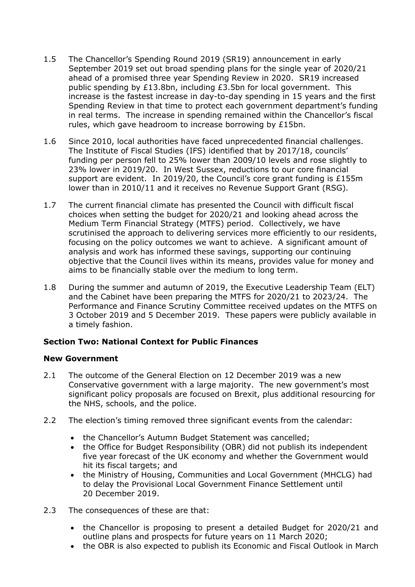- 1.5 The Chancellor's Spending Round 2019 (SR19) announcement in early September 2019 set out broad spending plans for the single year of 2020/21 ahead of a promised three year Spending Review in 2020. SR19 increased public spending by £13.8bn, including £3.5bn for local government. This increase is the fastest increase in day-to-day spending in 15 years and the first Spending Review in that time to protect each government department's funding in real terms. The increase in spending remained within the Chancellor's fiscal rules, which gave headroom to increase borrowing by £15bn.
- 1.6 Since 2010, local authorities have faced unprecedented financial challenges. The Institute of Fiscal Studies (IFS) identified that by 2017/18, councils' funding per person fell to 25% lower than 2009/10 levels and rose slightly to 23% lower in 2019/20. In West Sussex, reductions to our core financial support are evident. In 2019/20, the Council's core grant funding is £155m lower than in 2010/11 and it receives no Revenue Support Grant (RSG).
- 1.7 The current financial climate has presented the Council with difficult fiscal choices when setting the budget for 2020/21 and looking ahead across the Medium Term Financial Strategy (MTFS) period. Collectively, we have scrutinised the approach to delivering services more efficiently to our residents, focusing on the policy outcomes we want to achieve. A significant amount of analysis and work has informed these savings, supporting our continuing objective that the Council lives within its means, provides value for money and aims to be financially stable over the medium to long term.
- 1.8 During the summer and autumn of 2019, the Executive Leadership Team (ELT) and the Cabinet have been preparing the MTFS for 2020/21 to 2023/24. The Performance and Finance Scrutiny Committee received updates on the MTFS on 3 October 2019 and 5 December 2019. These papers were publicly available in a timely fashion.

### **Section Two: National Context for Public Finances**

#### **New Government**

- 2.1 The outcome of the General Election on 12 December 2019 was a new Conservative government with a large majority. The new government's most significant policy proposals are focused on Brexit, plus additional resourcing for the NHS, schools, and the police.
- 2.2 The election's timing removed three significant events from the calendar:
	- the Chancellor's Autumn Budget Statement was cancelled;
	- the Office for Budget Responsibility (OBR) did not publish its independent five year forecast of the UK economy and whether the Government would hit its fiscal targets; and
	- the Ministry of Housing, Communities and Local Government (MHCLG) had to delay the Provisional Local Government Finance Settlement until 20 December 2019.
- 2.3 The consequences of these are that:
	- the Chancellor is proposing to present a detailed Budget for 2020/21 and outline plans and prospects for future years on 11 March 2020;
	- the OBR is also expected to publish its Economic and Fiscal Outlook in March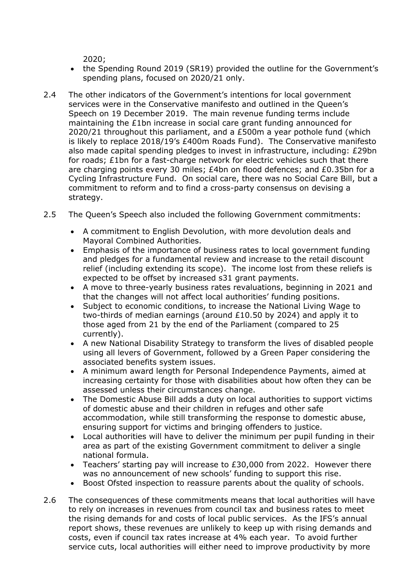2020;

- the Spending Round 2019 (SR19) provided the outline for the Government's spending plans, focused on 2020/21 only.
- 2.4 The other indicators of the Government's intentions for local government services were in the Conservative manifesto and outlined in the Queen's Speech on 19 December 2019. The main revenue funding terms include maintaining the £1bn increase in social care grant funding announced for 2020/21 throughout this parliament, and a £500m a year pothole fund (which is likely to replace 2018/19's £400m Roads Fund). The Conservative manifesto also made capital spending pledges to invest in infrastructure, including: £29bn for roads; £1bn for a fast-charge network for electric vehicles such that there are charging points every 30 miles; £4bn on flood defences; and £0.35bn for a Cycling Infrastructure Fund. On social care, there was no Social Care Bill, but a commitment to reform and to find a cross-party consensus on devising a strategy.
- 2.5 The Queen's Speech also included the following Government commitments:
	- A commitment to English Devolution, with more devolution deals and Mayoral Combined Authorities.
	- Emphasis of the importance of business rates to local government funding and pledges for a fundamental review and increase to the retail discount relief (including extending its scope). The income lost from these reliefs is expected to be offset by increased s31 grant payments.
	- A move to three-yearly business rates revaluations, beginning in 2021 and that the changes will not affect local authorities' funding positions.
	- Subject to economic conditions, to increase the National Living Wage to two-thirds of median earnings (around £10.50 by 2024) and apply it to those aged from 21 by the end of the Parliament (compared to 25 currently).
	- A new National Disability Strategy to transform the lives of disabled people using all levers of Government, followed by a Green Paper considering the associated benefits system issues.
	- A minimum award length for Personal Independence Payments, aimed at increasing certainty for those with disabilities about how often they can be assessed unless their circumstances change.
	- The Domestic Abuse Bill adds a duty on local authorities to support victims of domestic abuse and their children in refuges and other safe accommodation, while still transforming the response to domestic abuse, ensuring support for victims and bringing offenders to justice.
	- Local authorities will have to deliver the minimum per pupil funding in their area as part of the existing Government commitment to deliver a single national formula.
	- Teachers' starting pay will increase to £30,000 from 2022. However there was no announcement of new schools' funding to support this rise.
	- Boost Ofsted inspection to reassure parents about the quality of schools.
- 2.6 The consequences of these commitments means that local authorities will have to rely on increases in revenues from council tax and business rates to meet the rising demands for and costs of local public services. As the IFS's annual report shows, these revenues are unlikely to keep up with rising demands and costs, even if council tax rates increase at 4% each year. To avoid further service cuts, local authorities will either need to improve productivity by more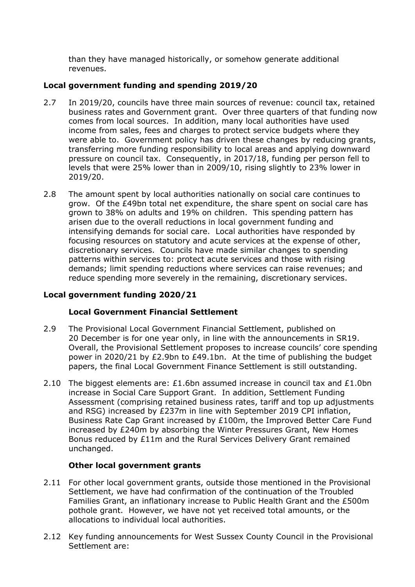than they have managed historically, or somehow generate additional revenues.

### **Local government funding and spending 2019/20**

- 2.7 In 2019/20, councils have three main sources of revenue: council tax, retained business rates and Government grant. Over three quarters of that funding now comes from local sources. In addition, many local authorities have used income from sales, fees and charges to protect service budgets where they were able to. Government policy has driven these changes by reducing grants, transferring more funding responsibility to local areas and applying downward pressure on council tax. Consequently, in 2017/18, funding per person fell to levels that were 25% lower than in 2009/10, rising slightly to 23% lower in 2019/20.
- 2.8 The amount spent by local authorities nationally on social care continues to grow. Of the £49bn total net expenditure, the share spent on social care has grown to 38% on adults and 19% on children. This spending pattern has arisen due to the overall reductions in local government funding and intensifying demands for social care. Local authorities have responded by focusing resources on statutory and acute services at the expense of other, discretionary services. Councils have made similar changes to spending patterns within services to: protect acute services and those with rising demands; limit spending reductions where services can raise revenues; and reduce spending more severely in the remaining, discretionary services.

### **Local government funding 2020/21**

### **Local Government Financial Settlement**

- 2.9 The Provisional Local Government Financial Settlement, published on 20 December is for one year only, in line with the announcements in SR19. Overall, the Provisional Settlement proposes to increase councils' core spending power in 2020/21 by £2.9bn to £49.1bn. At the time of publishing the budget papers, the final Local Government Finance Settlement is still outstanding.
- 2.10 The biggest elements are:  $£1.6$ bn assumed increase in council tax and  $£1.0$ bn increase in Social Care Support Grant. In addition, Settlement Funding Assessment (comprising retained business rates, tariff and top up adjustments and RSG) increased by £237m in line with September 2019 CPI inflation, Business Rate Cap Grant increased by £100m, the Improved Better Care Fund increased by £240m by absorbing the Winter Pressures Grant, New Homes Bonus reduced by £11m and the Rural Services Delivery Grant remained unchanged.

### **Other local government grants**

- 2.11 For other local government grants, outside those mentioned in the Provisional Settlement, we have had confirmation of the continuation of the Troubled Families Grant, an inflationary increase to Public Health Grant and the £500m pothole grant. However, we have not yet received total amounts, or the allocations to individual local authorities.
- 2.12 Key funding announcements for West Sussex County Council in the Provisional Settlement are: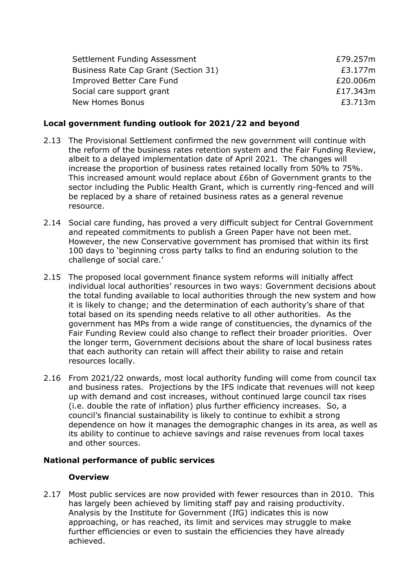| Settlement Funding Assessment        | £79.257m |
|--------------------------------------|----------|
| Business Rate Cap Grant (Section 31) | £3.177m  |
| Improved Better Care Fund            | £20.006m |
| Social care support grant            | £17.343m |
| New Homes Bonus                      | £3.713m  |

## **Local government funding outlook for 2021/22 and beyond**

- 2.13 The Provisional Settlement confirmed the new government will continue with the reform of the business rates retention system and the Fair Funding Review, albeit to a delayed implementation date of April 2021. The changes will increase the proportion of business rates retained locally from 50% to 75%. This increased amount would replace about £6bn of Government grants to the sector including the Public Health Grant, which is currently ring-fenced and will be replaced by a share of retained business rates as a general revenue resource.
- 2.14 Social care funding, has proved a very difficult subject for Central Government and repeated commitments to publish a Green Paper have not been met. However, the new Conservative government has promised that within its first 100 days to 'beginning cross party talks to find an enduring solution to the challenge of social care.'
- 2.15 The proposed local government finance system reforms will initially affect individual local authorities' resources in two ways: Government decisions about the total funding available to local authorities through the new system and how it is likely to change; and the determination of each authority's share of that total based on its spending needs relative to all other authorities. As the government has MPs from a wide range of constituencies, the dynamics of the Fair Funding Review could also change to reflect their broader priorities. Over the longer term, Government decisions about the share of local business rates that each authority can retain will affect their ability to raise and retain resources locally.
- 2.16 From 2021/22 onwards, most local authority funding will come from council tax and business rates. Projections by the IFS indicate that revenues will not keep up with demand and cost increases, without continued large council tax rises (i.e. double the rate of inflation) plus further efficiency increases. So, a council's financial sustainability is likely to continue to exhibit a strong dependence on how it manages the demographic changes in its area, as well as its ability to continue to achieve savings and raise revenues from local taxes and other sources.

### **National performance of public services**

### **Overview**

2.17 Most public services are now provided with fewer resources than in 2010. This has largely been achieved by limiting staff pay and raising productivity. Analysis by the Institute for Government (IfG) indicates this is now approaching, or has reached, its limit and services may struggle to make further efficiencies or even to sustain the efficiencies they have already achieved.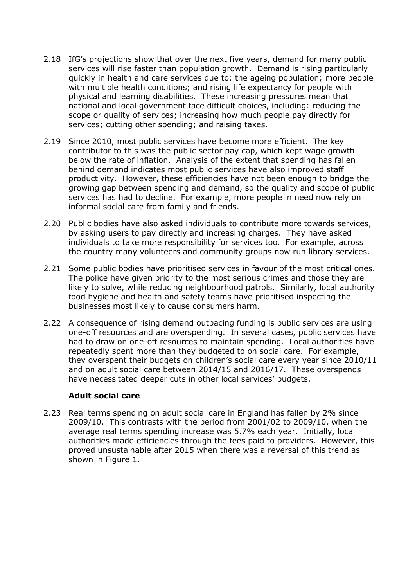- 2.18 IfG's projections show that over the next five years, demand for many public services will rise faster than population growth. Demand is rising particularly quickly in health and care services due to: the ageing population; more people with multiple health conditions; and rising life expectancy for people with physical and learning disabilities. These increasing pressures mean that national and local government face difficult choices, including: reducing the scope or quality of services; increasing how much people pay directly for services; cutting other spending; and raising taxes.
- 2.19 Since 2010, most public services have become more efficient. The key contributor to this was the public sector pay cap, which kept wage growth below the rate of inflation. Analysis of the extent that spending has fallen behind demand indicates most public services have also improved staff productivity. However, these efficiencies have not been enough to bridge the growing gap between spending and demand, so the quality and scope of public services has had to decline. For example, more people in need now rely on informal social care from family and friends.
- 2.20 Public bodies have also asked individuals to contribute more towards services, by asking users to pay directly and increasing charges. They have asked individuals to take more responsibility for services too. For example, across the country many volunteers and community groups now run library services.
- 2.21 Some public bodies have prioritised services in favour of the most critical ones. The police have given priority to the most serious crimes and those they are likely to solve, while reducing neighbourhood patrols. Similarly, local authority food hygiene and health and safety teams have prioritised inspecting the businesses most likely to cause consumers harm.
- 2.22 A consequence of rising demand outpacing funding is public services are using one-off resources and are overspending. In several cases, public services have had to draw on one-off resources to maintain spending. Local authorities have repeatedly spent more than they budgeted to on social care. For example, they overspent their budgets on children's social care every year since 2010/11 and on adult social care between 2014/15 and 2016/17. These overspends have necessitated deeper cuts in other local services' budgets.

#### **Adult social care**

2.23 Real terms spending on adult social care in England has fallen by 2% since 2009/10. This contrasts with the period from 2001/02 to 2009/10, when the average real terms spending increase was 5.7% each year. Initially, local authorities made efficiencies through the fees paid to providers. However, this proved unsustainable after 2015 when there was a reversal of this trend as shown in Figure 1.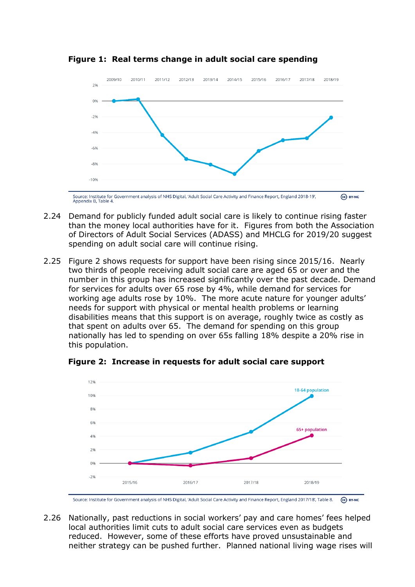

**Figure 1: Real terms change in adult social care spending** 

- 2.24 Demand for publicly funded adult social care is likely to continue rising faster than the money local authorities have for it. Figures from both the Association of Directors of Adult Social Services (ADASS) and MHCLG for 2019/20 suggest spending on adult social care will continue rising.
- 2.25 Figure 2 shows requests for support have been rising since 2015/16. Nearly two thirds of people receiving adult social care are aged 65 or over and the number in this group has increased significantly over the past decade. Demand for services for adults over 65 rose by 4%, while demand for services for working age adults rose by 10%. The more acute nature for younger adults' needs for support with physical or mental health problems or learning disabilities means that this support is on average, roughly twice as costly as that spent on adults over 65. The demand for spending on this group nationally has led to spending on over 65s falling 18% despite a 20% rise in this population.

**Figure 2: Increase in requests for adult social care support**



Source: Institute for Government analysis of NHS Digital, 'Adult Social Care Activity and Finance Report, England 2017/18', Table 8.  $\left(\begin{matrix} \overline{c} & \overline{c} \end{matrix}\right)$  BY-NC

2.26 Nationally, past reductions in social workers' pay and care homes' fees helped local authorities limit cuts to adult social care services even as budgets reduced. However, some of these efforts have proved unsustainable and neither strategy can be pushed further. Planned national living wage rises will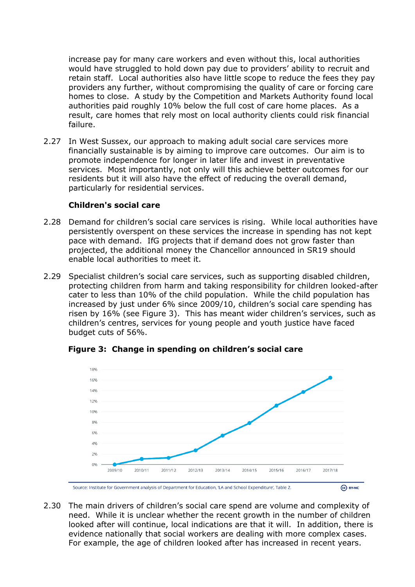increase pay for many care workers and even without this, local authorities would have struggled to hold down pay due to providers' ability to recruit and retain staff. Local authorities also have little scope to reduce the fees they pay providers any further, without compromising the quality of care or forcing care homes to close. A study by the Competition and Markets Authority found local authorities paid roughly 10% below the full cost of care home places. As a result, care homes that rely most on local authority clients could risk financial failure.

2.27 In West Sussex, our approach to making adult social care services more financially sustainable is by aiming to improve care outcomes. Our aim is to promote independence for longer in later life and invest in preventative services. Most importantly, not only will this achieve better outcomes for our residents but it will also have the effect of reducing the overall demand, particularly for residential services.

#### **Children's social care**

- 2.28 Demand for children's social care services is rising. While local authorities have persistently overspent on these services the increase in spending has not kept pace with demand. IfG projects that if demand does not grow faster than projected, the additional money the Chancellor announced in SR19 should enable local authorities to meet it.
- 2.29 Specialist children's social care services, such as supporting disabled children, protecting children from harm and taking responsibility for children looked-after cater to less than 10% of the child population. While the child population has increased by just under 6% since 2009/10, children's social care spending has risen by 16% (see Figure 3). This has meant wider children's services, such as children's centres, services for young people and youth justice have faced budget cuts of 56%.

**Figure 3: Change in spending on children's social care**



2.30 The main drivers of children's social care spend are volume and complexity of need. While it is unclear whether the recent growth in the number of children looked after will continue, local indications are that it will. In addition, there is evidence nationally that social workers are dealing with more complex cases. For example, the age of children looked after has increased in recent years.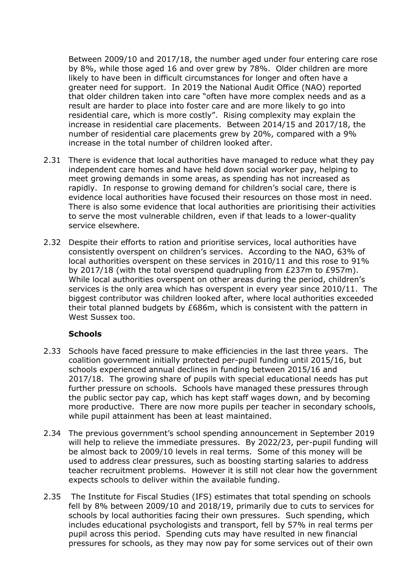Between 2009/10 and 2017/18, the number aged under four entering care rose by 8%, while those aged 16 and over grew by 78%. Older children are more likely to have been in difficult circumstances for longer and often have a greater need for support. In 2019 the National Audit Office (NAO) reported that older children taken into care "often have more complex needs and as a result are harder to place into foster care and are more likely to go into residential care, which is more costly". Rising complexity may explain the increase in residential care placements. Between 2014/15 and 2017/18, the number of residential care placements grew by 20%, compared with a 9% increase in the total number of children looked after.

- 2.31 There is evidence that local authorities have managed to reduce what they pay independent care homes and have held down social worker pay, helping to meet growing demands in some areas, as spending has not increased as rapidly. In response to growing demand for children's social care, there is evidence local authorities have focused their resources on those most in need. There is also some evidence that local authorities are prioritising their activities to serve the most vulnerable children, even if that leads to a lower-quality service elsewhere.
- 2.32 Despite their efforts to ration and prioritise services, local authorities have consistently overspent on children's services. According to the NAO, 63% of local authorities overspent on these services in 2010/11 and this rose to 91% by 2017/18 (with the total overspend quadrupling from £237m to £957m). While local authorities overspent on other areas during the period, children's services is the only area which has overspent in every year since 2010/11. The biggest contributor was children looked after, where local authorities exceeded their total planned budgets by £686m, which is consistent with the pattern in West Sussex too.

### **Schools**

- 2.33 Schools have faced pressure to make efficiencies in the last three years. The coalition government initially protected per-pupil funding until 2015/16, but schools experienced annual declines in funding between 2015/16 and 2017/18. The growing share of pupils with special educational needs has put further pressure on schools. Schools have managed these pressures through the public sector pay cap, which has kept staff wages down, and by becoming more productive. There are now more pupils per teacher in secondary schools, while pupil attainment has been at least maintained.
- 2.34 The previous government's school spending announcement in September 2019 will help to relieve the immediate pressures. By 2022/23, per-pupil funding will be almost back to 2009/10 levels in real terms. Some of this money will be used to address clear pressures, such as boosting starting salaries to address teacher recruitment problems. However it is still not clear how the government expects schools to deliver within the available funding.
- 2.35 The Institute for Fiscal Studies (IFS) estimates that total spending on schools fell by 8% between 2009/10 and 2018/19, primarily due to cuts to services for schools by local authorities facing their own pressures. Such spending, which includes educational psychologists and transport, fell by 57% in real terms per pupil across this period. Spending cuts may have resulted in new financial pressures for schools, as they may now pay for some services out of their own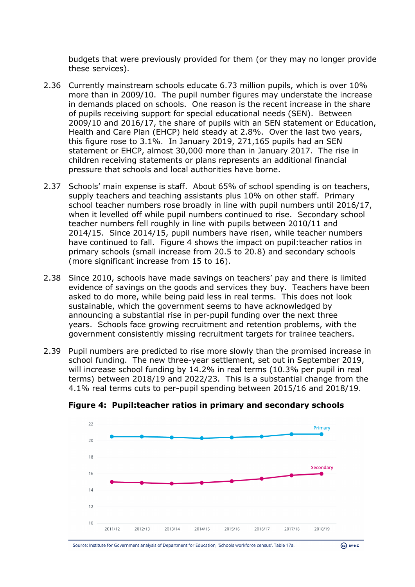budgets that were previously provided for them (or they may no longer provide these services).

- 2.36 Currently mainstream schools educate 6.73 million pupils, which is over 10% more than in 2009/10. The pupil number figures may understate the increase in demands placed on schools. One reason is the recent increase in the share of pupils receiving support for special educational needs (SEN). Between 2009/10 and 2016/17, the share of pupils with an SEN statement or Education, Health and Care Plan (EHCP) held steady at 2.8%. Over the last two years, this figure rose to 3.1%. In January 2019, 271,165 pupils had an SEN statement or EHCP, almost 30,000 more than in January 2017. The rise in children receiving statements or plans represents an additional financial pressure that schools and local authorities have borne.
- 2.37 Schools' main expense is staff. About 65% of school spending is on teachers, supply teachers and teaching assistants plus 10% on other staff. Primary school teacher numbers rose broadly in line with pupil numbers until 2016/17, when it levelled off while pupil numbers continued to rise. Secondary school teacher numbers fell roughly in line with pupils between 2010/11 and 2014/15. Since 2014/15, pupil numbers have risen, while teacher numbers have continued to fall. Figure 4 shows the impact on pupil:teacher ratios in primary schools (small increase from 20.5 to 20.8) and secondary schools (more significant increase from 15 to 16).
- 2.38 Since 2010, schools have made savings on teachers' pay and there is limited evidence of savings on the goods and services they buy. Teachers have been asked to do more, while being paid less in real terms. This does not look sustainable, which the government seems to have acknowledged by announcing a substantial rise in per-pupil funding over the next three years. Schools face growing recruitment and retention problems, with the government consistently missing recruitment targets for trainee teachers.
- 2.39 Pupil numbers are predicted to rise more slowly than the promised increase in school funding. The new three-year settlement, set out in September 2019, will increase school funding by 14.2% in real terms (10.3% per pupil in real terms) between 2018/19 and 2022/23. This is a substantial change from the 4.1% real terms cuts to per-pupil spending between 2015/16 and 2018/19.



**Figure 4: Pupil:teacher ratios in primary and secondary schools**

Source: Institute for Government analysis of Department for Education, 'Schools workforce census', Table 17a.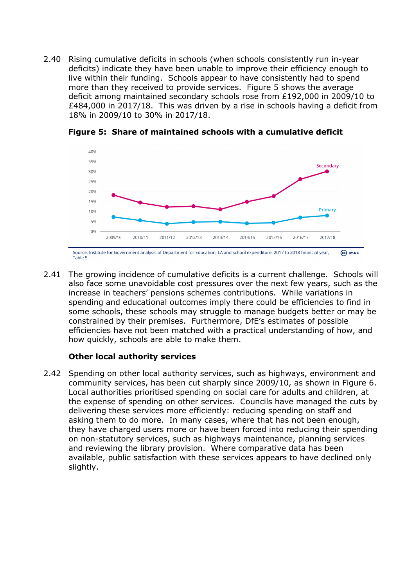2.40 Rising cumulative deficits in schools (when schools consistently run in-year deficits) indicate they have been unable to improve their efficiency enough to live within their funding. Schools appear to have consistently had to spend more than they received to provide services. Figure 5 shows the average deficit among maintained secondary schools rose from £192,000 in 2009/10 to £484,000 in 2017/18. This was driven by a rise in schools having a deficit from 18% in 2009/10 to 30% in 2017/18.



#### **Figure 5: Share of maintained schools with a cumulative deficit**

Table 5

2.41 The growing incidence of cumulative deficits is a current challenge. Schools will also face some unavoidable cost pressures over the next few years, such as the increase in teachers' pensions schemes contributions. While variations in spending and educational outcomes imply there could be efficiencies to find in some schools, these schools may struggle to manage budgets better or may be constrained by their premises. Furthermore, DfE's estimates of possible efficiencies have not been matched with a practical understanding of how, and how quickly, schools are able to make them.

#### **Other local authority services**

2.42 Spending on other local authority services, such as highways, environment and community services, has been cut sharply since 2009/10, as shown in Figure 6. Local authorities prioritised spending on social care for adults and children, at the expense of spending on other services. Councils have managed the cuts by delivering these services more efficiently: reducing spending on staff and asking them to do more. In many cases, where that has not been enough, they have charged users more or have been forced into reducing their spending on non-statutory services, such as highways maintenance, planning services and reviewing the library provision. Where comparative data has been available, public satisfaction with these services appears to have declined only slightly.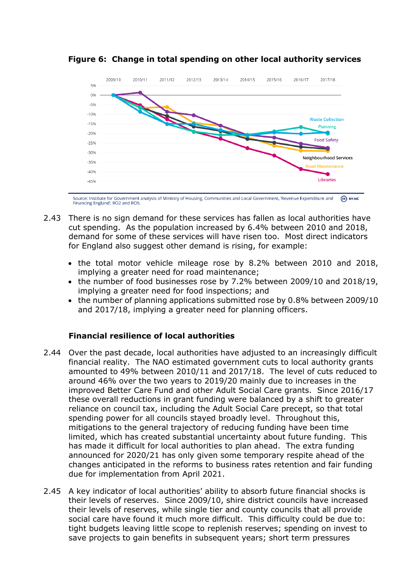

**Figure 6: Change in total spending on other local authority services**

Source: Institute for Government analysis of Ministry of Housing, Communities and Local Government, 'Revenue Expenditure and  $\omega$  BY-NC Financing England', RO2 and RO

- 2.43 There is no sign demand for these services has fallen as local authorities have cut spending. As the population increased by 6.4% between 2010 and 2018, demand for some of these services will have risen too. Most direct indicators for England also suggest other demand is rising, for example:
	- the total motor vehicle mileage rose by 8.2% between 2010 and 2018, implying a greater need for road maintenance;
	- the number of food businesses rose by 7.2% between 2009/10 and 2018/19, implying a greater need for food inspections; and
	- the number of planning applications submitted rose by 0.8% between 2009/10 and 2017/18, implying a greater need for planning officers.

## **Financial resilience of local authorities**

- 2.44 Over the past decade, local authorities have adjusted to an increasingly difficult financial reality. The NAO estimated government cuts to local authority grants amounted to 49% between 2010/11 and 2017/18. The level of cuts reduced to around 46% over the two years to 2019/20 mainly due to increases in the improved Better Care Fund and other Adult Social Care grants. Since 2016/17 these overall reductions in grant funding were balanced by a shift to greater reliance on council tax, including the Adult Social Care precept, so that total spending power for all councils stayed broadly level. Throughout this, mitigations to the general trajectory of reducing funding have been time limited, which has created substantial uncertainty about future funding. This has made it difficult for local authorities to plan ahead. The extra funding announced for 2020/21 has only given some temporary respite ahead of the changes anticipated in the reforms to business rates retention and fair funding due for implementation from April 2021.
- 2.45 A key indicator of local authorities' ability to absorb future financial shocks is their levels of reserves. Since 2009/10, shire district councils have increased their levels of reserves, while single tier and county councils that all provide social care have found it much more difficult. This difficulty could be due to: tight budgets leaving little scope to replenish reserves; spending on invest to save projects to gain benefits in subsequent years; short term pressures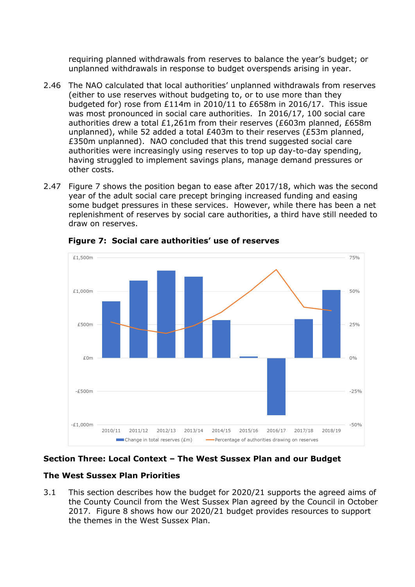requiring planned withdrawals from reserves to balance the year's budget; or unplanned withdrawals in response to budget overspends arising in year.

- 2.46 The NAO calculated that local authorities' unplanned withdrawals from reserves (either to use reserves without budgeting to, or to use more than they budgeted for) rose from £114m in 2010/11 to £658m in 2016/17. This issue was most pronounced in social care authorities. In 2016/17, 100 social care authorities drew a total £1,261m from their reserves (£603m planned, £658m unplanned), while 52 added a total £403m to their reserves (£53m planned, £350m unplanned). NAO concluded that this trend suggested social care authorities were increasingly using reserves to top up day-to-day spending, having struggled to implement savings plans, manage demand pressures or other costs.
- 2.47 Figure 7 shows the position began to ease after 2017/18, which was the second year of the adult social care precept bringing increased funding and easing some budget pressures in these services. However, while there has been a net replenishment of reserves by social care authorities, a third have still needed to draw on reserves.



**Figure 7: Social care authorities' use of reserves**

### **Section Three: Local Context – The West Sussex Plan and our Budget**

### **The West Sussex Plan Priorities**

3.1 This section describes how the budget for 2020/21 supports the agreed aims of the County Council from the West Sussex Plan agreed by the Council in October 2017. Figure 8 shows how our 2020/21 budget provides resources to support the themes in the West Sussex Plan.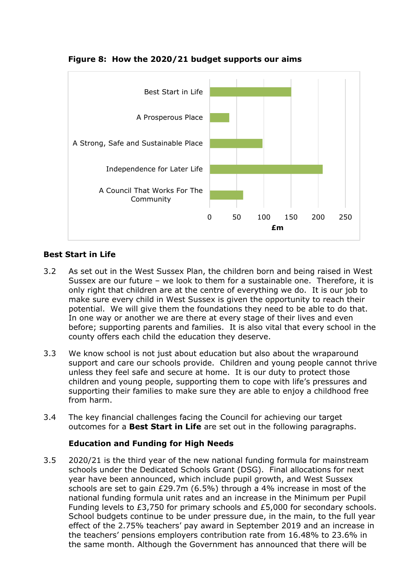

### **Figure 8: How the 2020/21 budget supports our aims**

## **Best Start in Life**

- 3.2 As set out in the West Sussex Plan, the children born and being raised in West Sussex are our future – we look to them for a sustainable one. Therefore, it is only right that children are at the centre of everything we do. It is our job to make sure every child in West Sussex is given the opportunity to reach their potential. We will give them the foundations they need to be able to do that. In one way or another we are there at every stage of their lives and even before; supporting parents and families. It is also vital that every school in the county offers each child the education they deserve.
- 3.3 We know school is not just about education but also about the wraparound support and care our schools provide. Children and young people cannot thrive unless they feel safe and secure at home. It is our duty to protect those children and young people, supporting them to cope with life's pressures and supporting their families to make sure they are able to enjoy a childhood free from harm.
- 3.4 The key financial challenges facing the Council for achieving our target outcomes for a **Best Start in Life** are set out in the following paragraphs.

### **Education and Funding for High Needs**

3.5 2020/21 is the third year of the new national funding formula for mainstream schools under the Dedicated Schools Grant (DSG). Final allocations for next year have been announced, which include pupil growth, and West Sussex schools are set to gain £29.7m (6.5%) through a 4% increase in most of the national funding formula unit rates and an increase in the Minimum per Pupil Funding levels to £3,750 for primary schools and £5,000 for secondary schools. School budgets continue to be under pressure due, in the main, to the full year effect of the 2.75% teachers' pay award in September 2019 and an increase in the teachers' pensions employers contribution rate from 16.48% to 23.6% in the same month. Although the Government has announced that there will be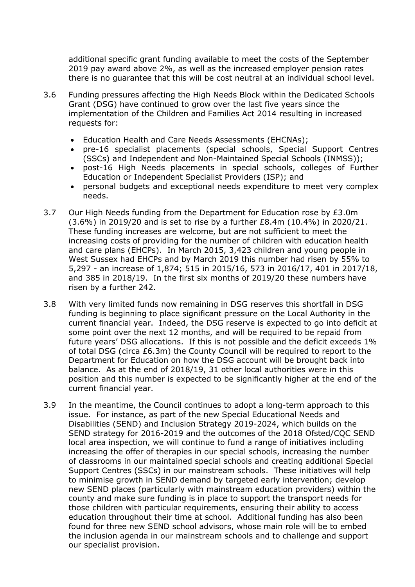additional specific grant funding available to meet the costs of the September 2019 pay award above 2%, as well as the increased employer pension rates there is no guarantee that this will be cost neutral at an individual school level.

- 3.6 Funding pressures affecting the High Needs Block within the Dedicated Schools Grant (DSG) have continued to grow over the last five years since the implementation of the Children and Families Act 2014 resulting in increased requests for:
	- Education Health and Care Needs Assessments (EHCNAs);
	- pre-16 specialist placements (special schools, Special Support Centres (SSCs) and Independent and Non-Maintained Special Schools (INMSS));
	- post-16 High Needs placements in special schools, colleges of Further Education or Independent Specialist Providers (ISP); and
	- personal budgets and exceptional needs expenditure to meet very complex needs.
- 3.7 Our High Needs funding from the Department for Education rose by £3.0m (3.6%) in 2019/20 and is set to rise by a further £8.4m (10.4%) in 2020/21. These funding increases are welcome, but are not sufficient to meet the increasing costs of providing for the number of children with education health and care plans (EHCPs). In March 2015, 3,423 children and young people in West Sussex had EHCPs and by March 2019 this number had risen by 55% to 5,297 - an increase of 1,874; 515 in 2015/16, 573 in 2016/17, 401 in 2017/18, and 385 in 2018/19. In the first six months of 2019/20 these numbers have risen by a further 242.
- 3.8 With very limited funds now remaining in DSG reserves this shortfall in DSG funding is beginning to place significant pressure on the Local Authority in the current financial year. Indeed, the DSG reserve is expected to go into deficit at some point over the next 12 months, and will be required to be repaid from future years' DSG allocations. If this is not possible and the deficit exceeds 1% of total DSG (circa £6.3m) the County Council will be required to report to the Department for Education on how the DSG account will be brought back into balance. As at the end of 2018/19, 31 other local authorities were in this position and this number is expected to be significantly higher at the end of the current financial year.
- 3.9 In the meantime, the Council continues to adopt a long-term approach to this issue. For instance, as part of the new Special Educational Needs and Disabilities (SEND) and Inclusion Strategy 2019-2024, which builds on the SEND strategy for 2016-2019 and the outcomes of the 2018 Ofsted/CQC SEND local area inspection, we will continue to fund a range of initiatives including increasing the offer of therapies in our special schools, increasing the number of classrooms in our maintained special schools and creating additional Special Support Centres (SSCs) in our mainstream schools. These initiatives will help to minimise growth in SEND demand by targeted early intervention; develop new SEND places (particularly with mainstream education providers) within the county and make sure funding is in place to support the transport needs for those children with particular requirements, ensuring their ability to access education throughout their time at school. Additional funding has also been found for three new SEND school advisors, whose main role will be to embed the inclusion agenda in our mainstream schools and to challenge and support our specialist provision.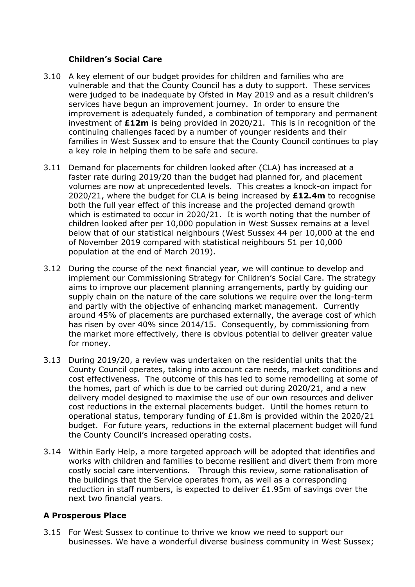## **Children's Social Care**

- 3.10 A key element of our budget provides for children and families who are vulnerable and that the County Council has a duty to support. These services were judged to be inadequate by Ofsted in May 2019 and as a result children's services have begun an improvement journey. In order to ensure the improvement is adequately funded, a combination of temporary and permanent investment of **£12m** is being provided in 2020/21. This is in recognition of the continuing challenges faced by a number of younger residents and their families in West Sussex and to ensure that the County Council continues to play a key role in helping them to be safe and secure.
- 3.11 Demand for placements for children looked after (CLA) has increased at a faster rate during 2019/20 than the budget had planned for, and placement volumes are now at unprecedented levels. This creates a knock-on impact for 2020/21, where the budget for CLA is being increased by **£12.4m** to recognise both the full year effect of this increase and the projected demand growth which is estimated to occur in 2020/21. It is worth noting that the number of children looked after per 10,000 population in West Sussex remains at a level below that of our statistical neighbours (West Sussex 44 per 10,000 at the end of November 2019 compared with statistical neighbours 51 per 10,000 population at the end of March 2019).
- 3.12 During the course of the next financial year, we will continue to develop and implement our Commissioning Strategy for Children's Social Care. The strategy aims to improve our placement planning arrangements, partly by guiding our supply chain on the nature of the care solutions we require over the long-term and partly with the objective of enhancing market management. Currently around 45% of placements are purchased externally, the average cost of which has risen by over 40% since 2014/15. Consequently, by commissioning from the market more effectively, there is obvious potential to deliver greater value for money.
- 3.13 During 2019/20, a review was undertaken on the residential units that the County Council operates, taking into account care needs, market conditions and cost effectiveness. The outcome of this has led to some remodelling at some of the homes, part of which is due to be carried out during 2020/21, and a new delivery model designed to maximise the use of our own resources and deliver cost reductions in the external placements budget. Until the homes return to operational status, temporary funding of £1.8m is provided within the 2020/21 budget. For future years, reductions in the external placement budget will fund the County Council's increased operating costs.
- 3.14 Within Early Help, a more targeted approach will be adopted that identifies and works with children and families to become resilient and divert them from more costly social care interventions. Through this review, some rationalisation of the buildings that the Service operates from, as well as a corresponding reduction in staff numbers, is expected to deliver £1.95m of savings over the next two financial years.

## **A Prosperous Place**

3.15 For West Sussex to continue to thrive we know we need to support our businesses. We have a wonderful diverse business community in West Sussex;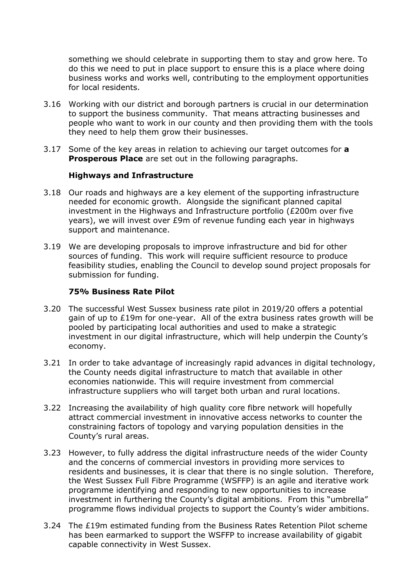something we should celebrate in supporting them to stay and grow here. To do this we need to put in place support to ensure this is a place where doing business works and works well, contributing to the employment opportunities for local residents.

- 3.16 Working with our district and borough partners is crucial in our determination to support the business community. That means attracting businesses and people who want to work in our county and then providing them with the tools they need to help them grow their businesses.
- 3.17 Some of the key areas in relation to achieving our target outcomes for **a Prosperous Place** are set out in the following paragraphs.

#### **Highways and Infrastructure**

- 3.18 Our roads and highways are a key element of the supporting infrastructure needed for economic growth. Alongside the significant planned capital investment in the Highways and Infrastructure portfolio (£200m over five years), we will invest over £9m of revenue funding each year in highways support and maintenance.
- 3.19 We are developing proposals to improve infrastructure and bid for other sources of funding. This work will require sufficient resource to produce feasibility studies, enabling the Council to develop sound project proposals for submission for funding.

#### **75% Business Rate Pilot**

- 3.20 The successful West Sussex business rate pilot in 2019/20 offers a potential gain of up to £19m for one-year. All of the extra business rates growth will be pooled by participating local authorities and used to make a strategic investment in our digital infrastructure, which will help underpin the County's economy.
- 3.21 In order to take advantage of increasingly rapid advances in digital technology, the County needs digital infrastructure to match that available in other economies nationwide. This will require investment from commercial infrastructure suppliers who will target both urban and rural locations.
- 3.22 Increasing the availability of high quality core fibre network will hopefully attract commercial investment in innovative access networks to counter the constraining factors of topology and varying population densities in the County's rural areas.
- 3.23 However, to fully address the digital infrastructure needs of the wider County and the concerns of commercial investors in providing more services to residents and businesses, it is clear that there is no single solution. Therefore, the West Sussex Full Fibre Programme (WSFFP) is an agile and iterative work programme identifying and responding to new opportunities to increase investment in furthering the County's digital ambitions. From this "umbrella" programme flows individual projects to support the County's wider ambitions.
- 3.24 The £19m estimated funding from the Business Rates Retention Pilot scheme has been earmarked to support the WSFFP to increase availability of gigabit capable connectivity in West Sussex.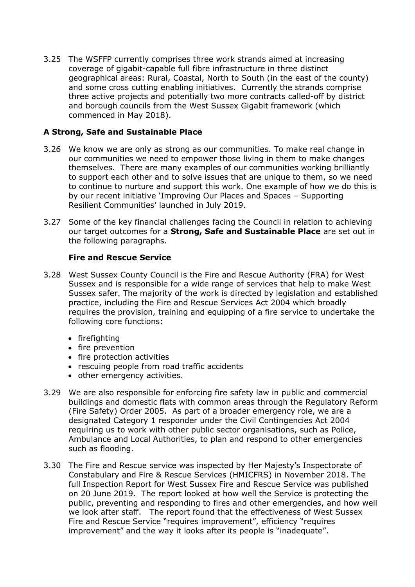3.25 The WSFFP currently comprises three work strands aimed at increasing coverage of gigabit-capable full fibre infrastructure in three distinct geographical areas: Rural, Coastal, North to South (in the east of the county) and some cross cutting enabling initiatives. Currently the strands comprise three active projects and potentially two more contracts called-off by district and borough councils from the West Sussex Gigabit framework (which commenced in May 2018).

### **A Strong, Safe and Sustainable Place**

- 3.26 We know we are only as strong as our communities. To make real change in our communities we need to empower those living in them to make changes themselves. There are many examples of our communities working brilliantly to support each other and to solve issues that are unique to them, so we need to continue to nurture and support this work. One example of how we do this is by our recent initiative 'Improving Our Places and Spaces – Supporting Resilient Communities' launched in July 2019.
- 3.27 Some of the key financial challenges facing the Council in relation to achieving our target outcomes for a **Strong, Safe and Sustainable Place** are set out in the following paragraphs.

### **Fire and Rescue Service**

- 3.28 West Sussex County Council is the Fire and Rescue Authority (FRA) for West Sussex and is responsible for a wide range of services that help to make West Sussex safer. The majority of the work is directed by legislation and established practice, including the Fire and Rescue Services Act 2004 which broadly requires the provision, training and equipping of a fire service to undertake the following core functions:
	- firefighting
	- fire prevention
	- fire protection activities
	- rescuing people from road traffic accidents
	- other emergency activities.
- 3.29 We are also responsible for enforcing fire safety law in public and commercial buildings and domestic flats with common areas through the Regulatory Reform (Fire Safety) Order 2005. As part of a broader emergency role, we are a designated Category 1 responder under the Civil Contingencies Act 2004 requiring us to work with other public sector organisations, such as Police, Ambulance and Local Authorities, to plan and respond to other emergencies such as flooding.
- 3.30 The Fire and Rescue service was inspected by Her Majesty's Inspectorate of Constabulary and Fire & Rescue Services (HMICFRS) in November 2018. The full Inspection Report for West Sussex Fire and Rescue Service was published on 20 June 2019. The report looked at how well the Service is protecting the public, preventing and responding to fires and other emergencies, and how well we look after staff. The report found that the effectiveness of West Sussex Fire and Rescue Service "requires improvement", efficiency "requires improvement" and the way it looks after its people is "inadequate".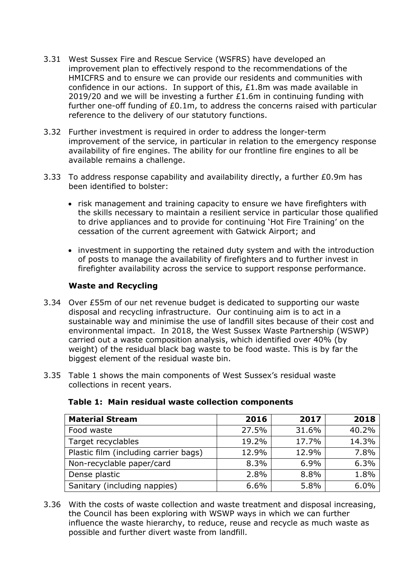- 3.31 West Sussex Fire and Rescue Service (WSFRS) have developed an improvement plan to effectively respond to the recommendations of the HMICFRS and to ensure we can provide our residents and communities with confidence in our actions. In support of this, £1.8m was made available in 2019/20 and we will be investing a further  $£1.6m$  in continuing funding with further one-off funding of £0.1m, to address the concerns raised with particular reference to the delivery of our statutory functions.
- 3.32 Further investment is required in order to address the longer-term improvement of the service, in particular in relation to the emergency response availability of fire engines. The ability for our frontline fire engines to all be available remains a challenge.
- 3.33 To address response capability and availability directly, a further £0.9m has been identified to bolster:
	- risk management and training capacity to ensure we have firefighters with the skills necessary to maintain a resilient service in particular those qualified to drive appliances and to provide for continuing 'Hot Fire Training' on the cessation of the current agreement with Gatwick Airport; and
	- investment in supporting the retained duty system and with the introduction of posts to manage the availability of firefighters and to further invest in firefighter availability across the service to support response performance.

### **Waste and Recycling**

- 3.34 Over £55m of our net revenue budget is dedicated to supporting our waste disposal and recycling infrastructure. Our continuing aim is to act in a sustainable way and minimise the use of landfill sites because of their cost and environmental impact. In 2018, the West Sussex Waste Partnership (WSWP) carried out a waste composition analysis, which identified over 40% (by weight) of the residual black bag waste to be food waste. This is by far the biggest element of the residual waste bin.
- 3.35 Table 1 shows the main components of West Sussex's residual waste collections in recent years.

| <b>Material Stream</b>                | 2016  | 2017  | 2018  |
|---------------------------------------|-------|-------|-------|
| Food waste                            | 27.5% | 31.6% | 40.2% |
| Target recyclables                    | 19.2% | 17.7% | 14.3% |
| Plastic film (including carrier bags) | 12.9% | 12.9% | 7.8%  |
| Non-recyclable paper/card             | 8.3%  | 6.9%  | 6.3%  |
| Dense plastic                         | 2.8%  | 8.8%  | 1.8%  |
| Sanitary (including nappies)          | 6.6%  | 5.8%  | 6.0%  |

#### **Table 1: Main residual waste collection components**

3.36 With the costs of waste collection and waste treatment and disposal increasing, the Council has been exploring with WSWP ways in which we can further influence the waste hierarchy, to reduce, reuse and recycle as much waste as possible and further divert waste from landfill.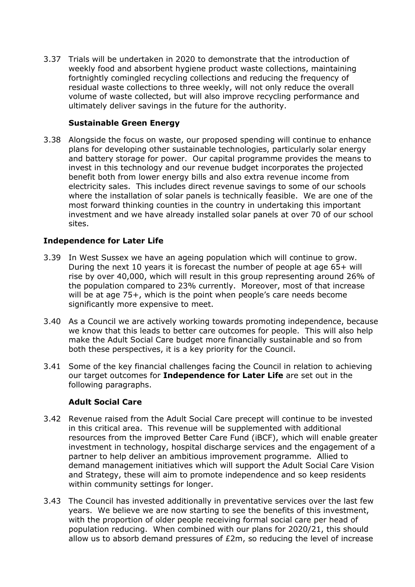3.37 Trials will be undertaken in 2020 to demonstrate that the introduction of weekly food and absorbent hygiene product waste collections, maintaining fortnightly comingled recycling collections and reducing the frequency of residual waste collections to three weekly, will not only reduce the overall volume of waste collected, but will also improve recycling performance and ultimately deliver savings in the future for the authority.

### **Sustainable Green Energy**

3.38 Alongside the focus on waste, our proposed spending will continue to enhance plans for developing other sustainable technologies, particularly solar energy and battery storage for power. Our capital programme provides the means to invest in this technology and our revenue budget incorporates the projected benefit both from lower energy bills and also extra revenue income from electricity sales. This includes direct revenue savings to some of our schools where the installation of solar panels is technically feasible. We are one of the most forward thinking counties in the country in undertaking this important investment and we have already installed solar panels at over 70 of our school sites.

## **Independence for Later Life**

- 3.39 In West Sussex we have an ageing population which will continue to grow. During the next 10 years it is forecast the number of people at age 65+ will rise by over 40,000, which will result in this group representing around 26% of the population compared to 23% currently. Moreover, most of that increase will be at age 75+, which is the point when people's care needs become significantly more expensive to meet.
- 3.40 As a Council we are actively working towards promoting independence, because we know that this leads to better care outcomes for people. This will also help make the Adult Social Care budget more financially sustainable and so from both these perspectives, it is a key priority for the Council.
- 3.41 Some of the key financial challenges facing the Council in relation to achieving our target outcomes for **Independence for Later Life** are set out in the following paragraphs.

## **Adult Social Care**

- 3.42 Revenue raised from the Adult Social Care precept will continue to be invested in this critical area. This revenue will be supplemented with additional resources from the improved Better Care Fund (iBCF), which will enable greater investment in technology, hospital discharge services and the engagement of a partner to help deliver an ambitious improvement programme. Allied to demand management initiatives which will support the Adult Social Care Vision and Strategy, these will aim to promote independence and so keep residents within community settings for longer.
- 3.43 The Council has invested additionally in preventative services over the last few years. We believe we are now starting to see the benefits of this investment, with the proportion of older people receiving formal social care per head of population reducing. When combined with our plans for 2020/21, this should allow us to absorb demand pressures of  $E2m$ , so reducing the level of increase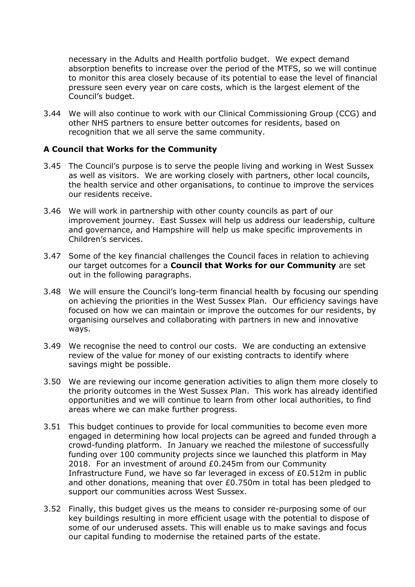necessary in the Adults and Health portfolio budget. We expect demand absorption benefits to increase over the period of the MTFS, so we will continue to monitor this area closely because of its potential to ease the level of financial pressure seen every year on care costs, which is the largest element of the Council's budget.

3.44 We will also continue to work with our Clinical Commissioning Group (CCG) and other NHS partners to ensure better outcomes for residents, based on recognition that we all serve the same community.

#### **A Council that Works for the Community**

- 3.45 The Council's purpose is to serve the people living and working in West Sussex as well as visitors. We are working closely with partners, other local councils, the health service and other organisations, to continue to improve the services our residents receive.
- 3.46 We will work in partnership with other county councils as part of our improvement journey. East Sussex will help us address our leadership, culture and governance, and Hampshire will help us make specific improvements in Children's services.
- 3.47 Some of the key financial challenges the Council faces in relation to achieving our target outcomes for a **Council that Works for our Community** are set out in the following paragraphs.
- 3.48 We will ensure the Council's long-term financial health by focusing our spending on achieving the priorities in the West Sussex Plan. Our efficiency savings have focused on how we can maintain or improve the outcomes for our residents, by organising ourselves and collaborating with partners in new and innovative ways.
- 3.49 We recognise the need to control our costs. We are conducting an extensive review of the value for money of our existing contracts to identify where savings might be possible.
- 3.50 We are reviewing our income generation activities to align them more closely to the priority outcomes in the West Sussex Plan. This work has already identified opportunities and we will continue to learn from other local authorities, to find areas where we can make further progress.
- 3.51 This budget continues to provide for local communities to become even more engaged in determining how local projects can be agreed and funded through a crowd-funding platform. In January we reached the milestone of successfully funding over 100 community projects since we launched this platform in May 2018. For an investment of around £0.245m from our Community Infrastructure Fund, we have so far leveraged in excess of £0.512m in public and other donations, meaning that over £0.750m in total has been pledged to support our communities across West Sussex.
- 3.52 Finally, this budget gives us the means to consider re-purposing some of our key buildings resulting in more efficient usage with the potential to dispose of some of our underused assets. This will enable us to make savings and focus our capital funding to modernise the retained parts of the estate.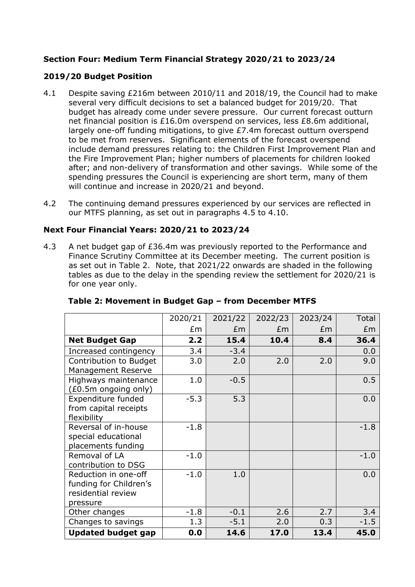## **Section Four: Medium Term Financial Strategy 2020/21 to 2023/24**

## **2019/20 Budget Position**

- 4.1 Despite saving £216m between 2010/11 and 2018/19, the Council had to make several very difficult decisions to set a balanced budget for 2019/20. That budget has already come under severe pressure. Our current forecast outturn net financial position is £16.0m overspend on services, less £8.6m additional, largely one-off funding mitigations, to give £7.4m forecast outturn overspend to be met from reserves. Significant elements of the forecast overspend include demand pressures relating to: the Children First Improvement Plan and the Fire Improvement Plan; higher numbers of placements for children looked after; and non-delivery of transformation and other savings. While some of the spending pressures the Council is experiencing are short term, many of them will continue and increase in 2020/21 and beyond.
- 4.2 The continuing demand pressures experienced by our services are reflected in our MTFS planning, as set out in paragraphs 4.5 to 4.10.

## **Next Four Financial Years: 2020/21 to 2023/24**

4.3 A net budget gap of £36.4m was previously reported to the Performance and Finance Scrutiny Committee at its December meeting. The current position is as set out in Table 2. Note, that 2021/22 onwards are shaded in the following tables as due to the delay in the spending review the settlement for 2020/21 is for one year only.

|                           | 2020/21 | 2021/22 | 2022/23 | 2023/24 | Total  |
|---------------------------|---------|---------|---------|---------|--------|
|                           | £m      | £m      | £m      | £m      | Em     |
| <b>Net Budget Gap</b>     | 2.2     | 15.4    | 10.4    | 8.4     | 36.4   |
| Increased contingency     | 3.4     | $-3.4$  |         |         | 0.0    |
| Contribution to Budget    | 3.0     | 2.0     | 2.0     | 2.0     | 9.0    |
| Management Reserve        |         |         |         |         |        |
| Highways maintenance      | 1.0     | $-0.5$  |         |         | 0.5    |
| (£0.5m ongoing only)      |         |         |         |         |        |
| Expenditure funded        | $-5.3$  | 5.3     |         |         | 0.0    |
| from capital receipts     |         |         |         |         |        |
| flexibility               |         |         |         |         |        |
| Reversal of in-house      | $-1.8$  |         |         |         | $-1.8$ |
| special educational       |         |         |         |         |        |
| placements funding        |         |         |         |         |        |
| Removal of LA             | $-1.0$  |         |         |         | $-1.0$ |
| contribution to DSG       |         |         |         |         |        |
| Reduction in one-off      | $-1.0$  | 1.0     |         |         | 0.0    |
| funding for Children's    |         |         |         |         |        |
| residential review        |         |         |         |         |        |
| pressure                  |         |         |         |         |        |
| Other changes             | $-1.8$  | $-0.1$  | 2.6     | 2.7     | 3.4    |
| Changes to savings        | 1.3     | $-5.1$  | 2.0     | 0.3     | $-1.5$ |
| <b>Updated budget gap</b> | 0.0     | 14.6    | 17.0    | 13.4    | 45.0   |

### **Table 2: Movement in Budget Gap – from December MTFS**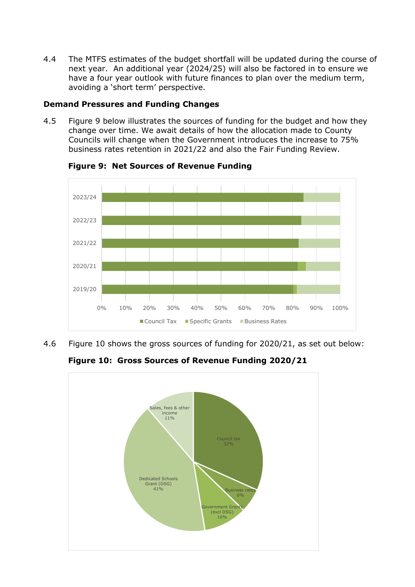4.4 The MTFS estimates of the budget shortfall will be updated during the course of next year. An additional year (2024/25) will also be factored in to ensure we have a four year outlook with future finances to plan over the medium term, avoiding a 'short term' perspective.

#### **Demand Pressures and Funding Changes**

4.5 Figure 9 below illustrates the sources of funding for the budget and how they change over time. We await details of how the allocation made to County Councils will change when the Government introduces the increase to 75% business rates retention in 2021/22 and also the Fair Funding Review.



**Figure 9: Net Sources of Revenue Funding**

4.6 Figure 10 shows the gross sources of funding for 2020/21, as set out below:

**Figure 10: Gross Sources of Revenue Funding 2020/21**

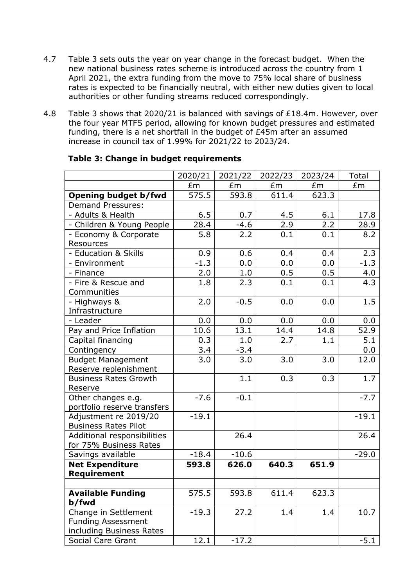- 4.7 Table 3 sets outs the year on year change in the forecast budget. When the new national business rates scheme is introduced across the country from 1 April 2021, the extra funding from the move to 75% local share of business rates is expected to be financially neutral, with either new duties given to local authorities or other funding streams reduced correspondingly.
- 4.8 Table 3 shows that 2020/21 is balanced with savings of £18.4m. However, over the four year MTFS period, allowing for known budget pressures and estimated funding, there is a net shortfall in the budget of £45m after an assumed increase in council tax of 1.99% for 2021/22 to 2023/24.

|                                                       | 2020/21 | 2021/22 | 2022/23 | 2023/24 | Total   |
|-------------------------------------------------------|---------|---------|---------|---------|---------|
|                                                       | £m      | £m      | £m      | £m      | £m      |
| <b>Opening budget b/fwd</b>                           | 575.5   | 593.8   | 611.4   | 623.3   |         |
| <b>Demand Pressures:</b>                              |         |         |         |         |         |
| - Adults & Health                                     | 6.5     | 0.7     | 4.5     | 6.1     | 17.8    |
| - Children & Young People                             | 28.4    | $-4.6$  | 2.9     | 2.2     | 28.9    |
| - Economy & Corporate<br>Resources                    | 5.8     | 2.2     | 0.1     | 0.1     | 8.2     |
| - Education & Skills                                  | 0.9     | 0.6     | 0.4     | 0.4     | 2.3     |
| - Environment                                         | $-1.3$  | 0.0     | 0.0     | 0.0     | $-1.3$  |
| - Finance                                             | 2.0     | 1.0     | 0.5     | 0.5     | 4.0     |
| - Fire & Rescue and<br>Communities                    | 1.8     | 2.3     | 0.1     | 0.1     | 4.3     |
| - Highways &<br>Infrastructure                        | 2.0     | $-0.5$  | 0.0     | 0.0     | 1.5     |
| - Leader                                              | 0.0     | 0.0     | 0.0     | 0.0     | 0.0     |
| Pay and Price Inflation                               | 10.6    | 13.1    | 14.4    | 14.8    | 52.9    |
| Capital financing                                     | 0.3     | 1.0     | 2.7     | 1.1     | 5.1     |
| Contingency                                           | 3.4     | $-3.4$  |         |         | 0.0     |
| <b>Budget Management</b><br>Reserve replenishment     | 3.0     | 3.0     | 3.0     | 3.0     | 12.0    |
| <b>Business Rates Growth</b>                          |         | 1.1     | 0.3     | 0.3     | 1.7     |
| Reserve                                               |         |         |         |         |         |
| Other changes e.g.<br>portfolio reserve transfers     | $-7.6$  | $-0.1$  |         |         | $-7.7$  |
| Adjustment re 2019/20<br><b>Business Rates Pilot</b>  | $-19.1$ |         |         |         | $-19.1$ |
| Additional responsibilities                           |         | 26.4    |         |         | 26.4    |
| for 75% Business Rates                                |         |         |         |         |         |
| Savings available                                     | $-18.4$ | $-10.6$ |         |         | $-29.0$ |
| <b>Net Expenditure</b><br>Requirement                 | 593.8   | 626.0   | 640.3   | 651.9   |         |
|                                                       |         |         |         |         |         |
| <b>Available Funding</b><br>b/fwd                     | 575.5   | 593.8   | 611.4   | 623.3   |         |
| Change in Settlement                                  | $-19.3$ | 27.2    | 1.4     | 1.4     | 10.7    |
| <b>Funding Assessment</b><br>including Business Rates |         |         |         |         |         |
| Social Care Grant                                     | 12.1    | $-17.2$ |         |         | $-5.1$  |

#### **Table 3: Change in budget requirements**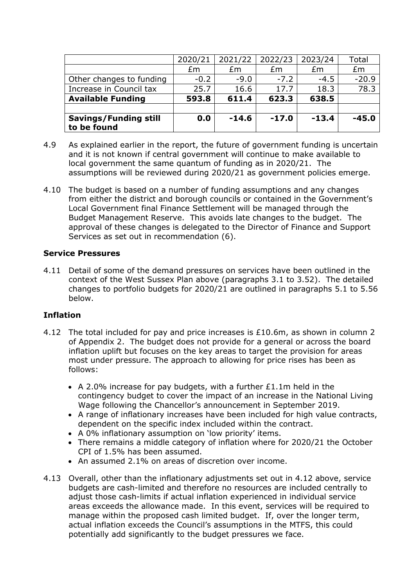| <b>Savings/Funding still</b><br>to be found | 0.0     | $-14.6$ | $-17.0$ | $-13.4$ | $-45.0$ |
|---------------------------------------------|---------|---------|---------|---------|---------|
| <b>Available Funding</b>                    | 593.8   | 611.4   | 623.3   | 638.5   |         |
| Increase in Council tax                     | 25.7    | 16.6    | 17.7    | 18.3    | 78.3    |
| Other changes to funding                    | $-0.2$  | $-9.0$  | $-7.2$  | $-4.5$  | $-20.9$ |
|                                             | £m      | £m      | £m      | £m      | £m      |
|                                             | 2020/21 | 2021/22 | 2022/23 | 2023/24 | Total   |

- 4.9 As explained earlier in the report, the future of government funding is uncertain and it is not known if central government will continue to make available to local government the same quantum of funding as in 2020/21. The assumptions will be reviewed during 2020/21 as government policies emerge.
- 4.10 The budget is based on a number of funding assumptions and any changes from either the district and borough councils or contained in the Government's Local Government final Finance Settlement will be managed through the Budget Management Reserve. This avoids late changes to the budget. The approval of these changes is delegated to the Director of Finance and Support Services as set out in recommendation (6).

#### **Service Pressures**

4.11 Detail of some of the demand pressures on services have been outlined in the context of the West Sussex Plan above (paragraphs 3.1 to 3.52). The detailed changes to portfolio budgets for 2020/21 are outlined in paragraphs 5.1 to 5.56 below.

### **Inflation**

- 4.12 The total included for pay and price increases is  $£10.6m$ , as shown in column 2 of Appendix 2. The budget does not provide for a general or across the board inflation uplift but focuses on the key areas to target the provision for areas most under pressure. The approach to allowing for price rises has been as follows:
	- A 2.0% increase for pay budgets, with a further £1.1m held in the contingency budget to cover the impact of an increase in the National Living Wage following the Chancellor's announcement in September 2019.
	- A range of inflationary increases have been included for high value contracts, dependent on the specific index included within the contract.
	- A 0% inflationary assumption on 'low priority' items.
	- There remains a middle category of inflation where for 2020/21 the October CPI of 1.5% has been assumed.
	- An assumed 2.1% on areas of discretion over income.
- 4.13 Overall, other than the inflationary adjustments set out in 4.12 above, service budgets are cash-limited and therefore no resources are included centrally to adjust those cash-limits if actual inflation experienced in individual service areas exceeds the allowance made. In this event, services will be required to manage within the proposed cash limited budget. If, over the longer term, actual inflation exceeds the Council's assumptions in the MTFS, this could potentially add significantly to the budget pressures we face.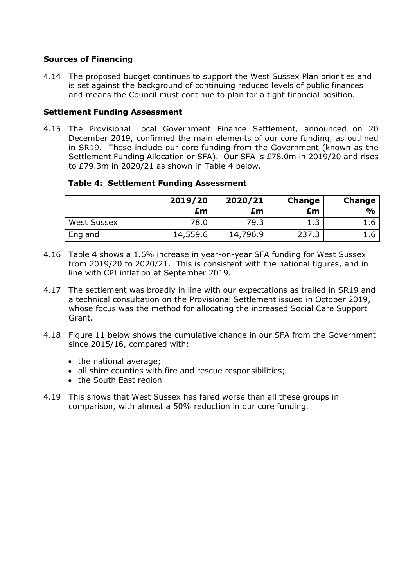### **Sources of Financing**

4.14 The proposed budget continues to support the West Sussex Plan priorities and is set against the background of continuing reduced levels of public finances and means the Council must continue to plan for a tight financial position.

## **Settlement Funding Assessment**

4.15 The Provisional Local Government Finance Settlement, announced on 20 December 2019, confirmed the main elements of our core funding, as outlined in SR19. These include our core funding from the Government (known as the Settlement Funding Allocation or SFA). Our SFA is £78.0m in 2019/20 and rises to £79.3m in 2020/21 as shown in Table 4 below.

## **Table 4: Settlement Funding Assessment**

|                    | 2019/20<br>£m | 2020/21<br>£m | Change<br>£m | <b>Change</b><br>$\frac{0}{0}$ |
|--------------------|---------------|---------------|--------------|--------------------------------|
| <b>West Sussex</b> | 78.0          | 79.3          | 12           |                                |
| England            | 14,559.6      | 14,796.9      | 237.3        | 1.6                            |

- 4.16 Table 4 shows a 1.6% increase in year-on-year SFA funding for West Sussex from 2019/20 to 2020/21. This is consistent with the national figures, and in line with CPI inflation at September 2019.
- 4.17 The settlement was broadly in line with our expectations as trailed in SR19 and a technical consultation on the Provisional Settlement issued in October 2019, whose focus was the method for allocating the increased Social Care Support Grant.
- 4.18 Figure 11 below shows the cumulative change in our SFA from the Government since 2015/16, compared with:
	- the national average;
	- all shire counties with fire and rescue responsibilities;
	- the South East region
- 4.19 This shows that West Sussex has fared worse than all these groups in comparison, with almost a 50% reduction in our core funding.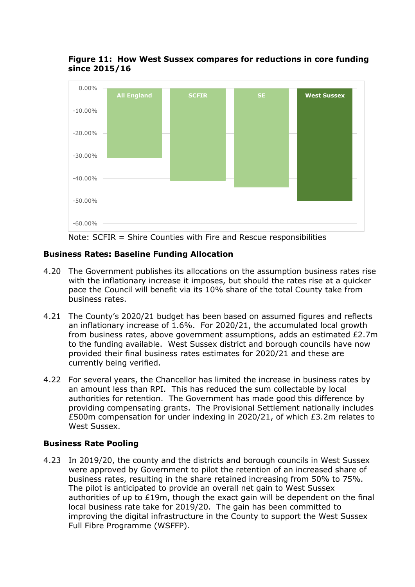### **Figure 11: How West Sussex compares for reductions in core funding since 2015/16**



Note: SCFIR = Shire Counties with Fire and Rescue responsibilities

## **Business Rates: Baseline Funding Allocation**

- 4.20 The Government publishes its allocations on the assumption business rates rise with the inflationary increase it imposes, but should the rates rise at a quicker pace the Council will benefit via its 10% share of the total County take from business rates.
- 4.21 The County's 2020/21 budget has been based on assumed figures and reflects an inflationary increase of 1.6%. For 2020/21, the accumulated local growth from business rates, above government assumptions, adds an estimated £2.7m to the funding available. West Sussex district and borough councils have now provided their final business rates estimates for 2020/21 and these are currently being verified.
- 4.22 For several years, the Chancellor has limited the increase in business rates by an amount less than RPI. This has reduced the sum collectable by local authorities for retention. The Government has made good this difference by providing compensating grants. The Provisional Settlement nationally includes £500m compensation for under indexing in 2020/21, of which £3.2m relates to West Sussex.

### **Business Rate Pooling**

4.23 In 2019/20, the county and the districts and borough councils in West Sussex were approved by Government to pilot the retention of an increased share of business rates, resulting in the share retained increasing from 50% to 75%. The pilot is anticipated to provide an overall net gain to West Sussex authorities of up to £19m, though the exact gain will be dependent on the final local business rate take for 2019/20. The gain has been committed to improving the digital infrastructure in the County to support the West Sussex Full Fibre Programme (WSFFP).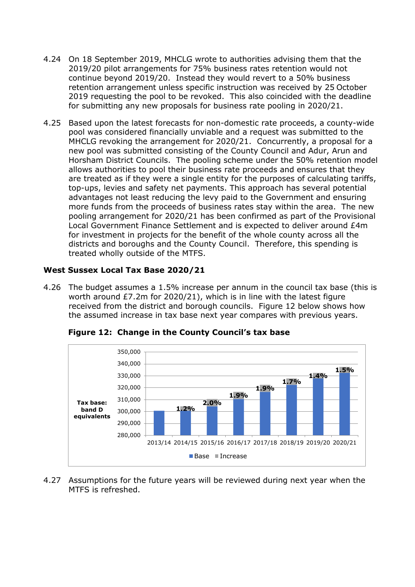- 4.24 On 18 September 2019, MHCLG wrote to authorities advising them that the 2019/20 pilot arrangements for 75% business rates retention would not continue beyond 2019/20. Instead they would revert to a 50% business retention arrangement unless specific instruction was received by 25 October 2019 requesting the pool to be revoked. This also coincided with the deadline for submitting any new proposals for business rate pooling in 2020/21.
- 4.25 Based upon the latest forecasts for non-domestic rate proceeds, a county-wide pool was considered financially unviable and a request was submitted to the MHCLG revoking the arrangement for 2020/21. Concurrently, a proposal for a new pool was submitted consisting of the County Council and Adur, Arun and Horsham District Councils. The pooling scheme under the 50% retention model allows authorities to pool their business rate proceeds and ensures that they are treated as if they were a single entity for the purposes of calculating tariffs, top-ups, levies and safety net payments. This approach has several potential advantages not least reducing the levy paid to the Government and ensuring more funds from the proceeds of business rates stay within the area. The new pooling arrangement for 2020/21 has been confirmed as part of the Provisional Local Government Finance Settlement and is expected to deliver around £4m for investment in projects for the benefit of the whole county across all the districts and boroughs and the County Council. Therefore, this spending is treated wholly outside of the MTFS.

## **West Sussex Local Tax Base 2020/21**

4.26 The budget assumes a 1.5% increase per annum in the council tax base (this is worth around £7.2m for 2020/21), which is in line with the latest figure received from the district and borough councils. Figure 12 below shows how the assumed increase in tax base next year compares with previous years.



**Figure 12: Change in the County Council's tax base**

4.27 Assumptions for the future years will be reviewed during next year when the MTFS is refreshed.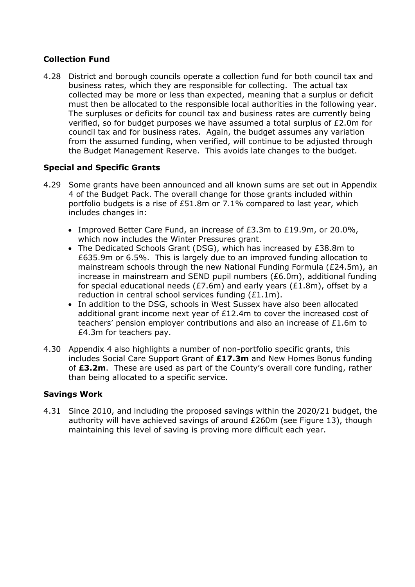## **Collection Fund**

4.28 District and borough councils operate a collection fund for both council tax and business rates, which they are responsible for collecting. The actual tax collected may be more or less than expected, meaning that a surplus or deficit must then be allocated to the responsible local authorities in the following year. The surpluses or deficits for council tax and business rates are currently being verified, so for budget purposes we have assumed a total surplus of £2.0m for council tax and for business rates. Again, the budget assumes any variation from the assumed funding, when verified, will continue to be adjusted through the Budget Management Reserve. This avoids late changes to the budget.

## **Special and Specific Grants**

- 4.29 Some grants have been announced and all known sums are set out in Appendix 4 of the Budget Pack. The overall change for those grants included within portfolio budgets is a rise of £51.8m or 7.1% compared to last year, which includes changes in:
	- Improved Better Care Fund, an increase of  $E3.3m$  to  $E19.9m$ , or 20.0%, which now includes the Winter Pressures grant.
	- The Dedicated Schools Grant (DSG), which has increased by £38.8m to £635.9m or 6.5%. This is largely due to an improved funding allocation to mainstream schools through the new National Funding Formula (£24.5m), an increase in mainstream and SEND pupil numbers (£6.0m), additional funding for special educational needs ( $E7.6m$ ) and early years ( $E1.8m$ ), offset by a reduction in central school services funding (£1.1m).
	- In addition to the DSG, schools in West Sussex have also been allocated additional grant income next year of £12.4m to cover the increased cost of teachers' pension employer contributions and also an increase of £1.6m to £4.3m for teachers pay.
- 4.30 Appendix 4 also highlights a number of non-portfolio specific grants, this includes Social Care Support Grant of **£17.3m** and New Homes Bonus funding of **£3.2m**. These are used as part of the County's overall core funding, rather than being allocated to a specific service.

### **Savings Work**

4.31 Since 2010, and including the proposed savings within the 2020/21 budget, the authority will have achieved savings of around £260m (see Figure 13), though maintaining this level of saving is proving more difficult each year.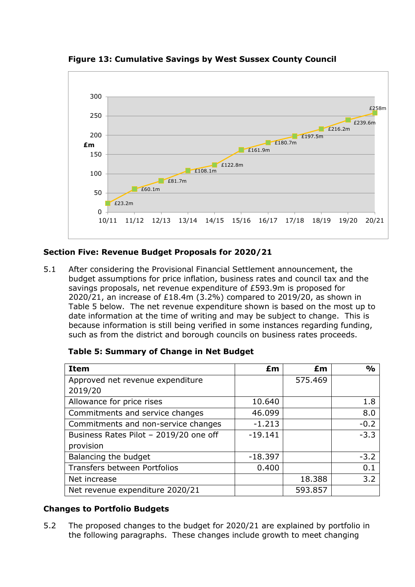

**Figure 13: Cumulative Savings by West Sussex County Council**

## **Section Five: Revenue Budget Proposals for 2020/21**

5.1 After considering the Provisional Financial Settlement announcement, the budget assumptions for price inflation, business rates and council tax and the savings proposals, net revenue expenditure of £593.9m is proposed for 2020/21, an increase of £18.4m (3.2%) compared to 2019/20, as shown in Table 5 below. The net revenue expenditure shown is based on the most up to date information at the time of writing and may be subject to change. This is because information is still being verified in some instances regarding funding, such as from the district and borough councils on business rates proceeds.

| Table 5: Summary of Change in Net Budget |           |         |               |
|------------------------------------------|-----------|---------|---------------|
| <b>Item</b>                              | £m        | £m      | $\frac{0}{0}$ |
| Approved net revenue expenditure         |           | 575.469 |               |
| 2019/20                                  |           |         |               |
| Allowance for price rises                | 10.640    |         | 1.8           |
| Commitments and service changes          | 46.099    |         | 8.0           |
| Commitments and non-service changes      | $-1.213$  |         | $-0.2$        |
| Business Rates Pilot - 2019/20 one off   | $-19.141$ |         | $-3.3$        |
| provision                                |           |         |               |
| Balancing the budget                     | $-18.397$ |         | $-3.2$        |

### **Changes to Portfolio Budgets**

5.2 The proposed changes to the budget for 2020/21 are explained by portfolio in the following paragraphs. These changes include growth to meet changing

Net revenue expenditure 2020/21 | 593.857

Transfers between Portfolios  $\vert$  0.400  $\vert$  0.1 Net increase 18.388 3.2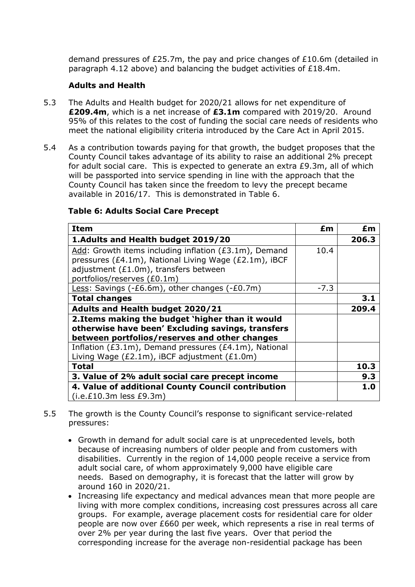demand pressures of £25.7m, the pay and price changes of £10.6m (detailed in paragraph 4.12 above) and balancing the budget activities of £18.4m.

## **Adults and Health**

- 5.3 The Adults and Health budget for 2020/21 allows for net expenditure of **£209.4m**, which is a net increase of **£3.1m** compared with 2019/20. Around 95% of this relates to the cost of funding the social care needs of residents who meet the national eligibility criteria introduced by the Care Act in April 2015.
- 5.4 As a contribution towards paying for that growth, the budget proposes that the County Council takes advantage of its ability to raise an additional 2% precept for adult social care. This is expected to generate an extra £9.3m, all of which will be passported into service spending in line with the approach that the County Council has taken since the freedom to levy the precept became available in 2016/17. This is demonstrated in Table 6.

| <b>Item</b>                                                                                                                                            | £m     | £m    |
|--------------------------------------------------------------------------------------------------------------------------------------------------------|--------|-------|
| 1. Adults and Health budget 2019/20                                                                                                                    |        | 206.3 |
| Add: Growth items including inflation (£3.1m), Demand<br>pressures (£4.1m), National Living Wage (£2.1m), iBCF                                         | 10.4   |       |
| adjustment (£1.0m), transfers between<br>portfolios/reserves (£0.1m)                                                                                   |        |       |
| Less: Savings ( $-£6.6m$ ), other changes ( $-£0.7m$ )                                                                                                 | $-7.3$ |       |
| <b>Total changes</b>                                                                                                                                   |        | 3.1   |
| <b>Adults and Health budget 2020/21</b>                                                                                                                |        | 209.4 |
| 2. Items making the budget 'higher than it would<br>otherwise have been' Excluding savings, transfers<br>between portfolios/reserves and other changes |        |       |
| Inflation (£3.1m), Demand pressures (£4.1m), National<br>Living Wage (£2.1m), iBCF adjustment (£1.0m)                                                  |        |       |
| <b>Total</b>                                                                                                                                           |        | 10.3  |
| 3. Value of 2% adult social care precept income                                                                                                        |        | 9.3   |
| 4. Value of additional County Council contribution<br>$(i.e. £10.3m$ less £9.3m)                                                                       |        | 1.0   |

## **Table 6: Adults Social Care Precept**

- 5.5 The growth is the County Council's response to significant service-related pressures:
	- Growth in demand for adult social care is at unprecedented levels, both because of increasing numbers of older people and from customers with disabilities. Currently in the region of 14,000 people receive a service from adult social care, of whom approximately 9,000 have eligible care needs. Based on demography, it is forecast that the latter will grow by around 160 in 2020/21.
	- Increasing life expectancy and medical advances mean that more people are living with more complex conditions, increasing cost pressures across all care groups. For example, average placement costs for residential care for older people are now over £660 per week, which represents a rise in real terms of over 2% per year during the last five years. Over that period the corresponding increase for the average non-residential package has been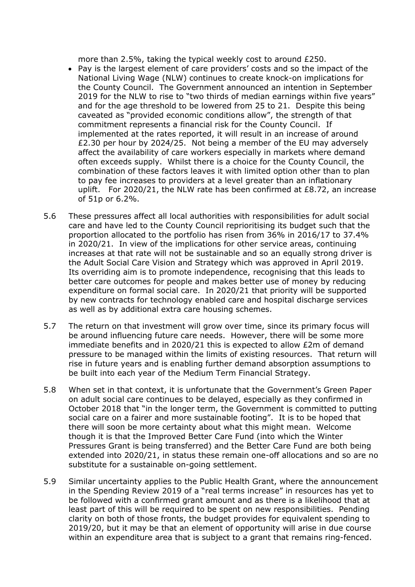more than 2.5%, taking the typical weekly cost to around £250.

- Pay is the largest element of care providers' costs and so the impact of the National Living Wage (NLW) continues to create knock-on implications for the County Council. The Government announced an intention in September 2019 for the NLW to rise to "two thirds of median earnings within five years" and for the age threshold to be lowered from 25 to 21. Despite this being caveated as "provided economic conditions allow", the strength of that commitment represents a financial risk for the County Council. If implemented at the rates reported, it will result in an increase of around £2.30 per hour by 2024/25. Not being a member of the EU may adversely affect the availability of care workers especially in markets where demand often exceeds supply. Whilst there is a choice for the County Council, the combination of these factors leaves it with limited option other than to plan to pay fee increases to providers at a level greater than an inflationary uplift. For 2020/21, the NLW rate has been confirmed at £8.72, an increase of 51p or 6.2%.
- 5.6 These pressures affect all local authorities with responsibilities for adult social care and have led to the County Council reprioritising its budget such that the proportion allocated to the portfolio has risen from 36% in 2016/17 to 37.4% in 2020/21. In view of the implications for other service areas, continuing increases at that rate will not be sustainable and so an equally strong driver is the Adult Social Care Vision and Strategy which was approved in April 2019. Its overriding aim is to promote independence, recognising that this leads to better care outcomes for people and makes better use of money by reducing expenditure on formal social care. In 2020/21 that priority will be supported by new contracts for technology enabled care and hospital discharge services as well as by additional extra care housing schemes.
- 5.7 The return on that investment will grow over time, since its primary focus will be around influencing future care needs. However, there will be some more immediate benefits and in 2020/21 this is expected to allow £2m of demand pressure to be managed within the limits of existing resources. That return will rise in future years and is enabling further demand absorption assumptions to be built into each year of the Medium Term Financial Strategy.
- 5.8 When set in that context, it is unfortunate that the Government's Green Paper on adult social care continues to be delayed, especially as they confirmed in October 2018 that "in the longer term, the Government is committed to putting social care on a fairer and more sustainable footing". It is to be hoped that there will soon be more certainty about what this might mean. Welcome though it is that the Improved Better Care Fund (into which the Winter Pressures Grant is being transferred) and the Better Care Fund are both being extended into 2020/21, in status these remain one-off allocations and so are no substitute for a sustainable on-going settlement.
- 5.9 Similar uncertainty applies to the Public Health Grant, where the announcement in the Spending Review 2019 of a "real terms increase" in resources has yet to be followed with a confirmed grant amount and as there is a likelihood that at least part of this will be required to be spent on new responsibilities. Pending clarity on both of those fronts, the budget provides for equivalent spending to 2019/20, but it may be that an element of opportunity will arise in due course within an expenditure area that is subject to a grant that remains ring-fenced.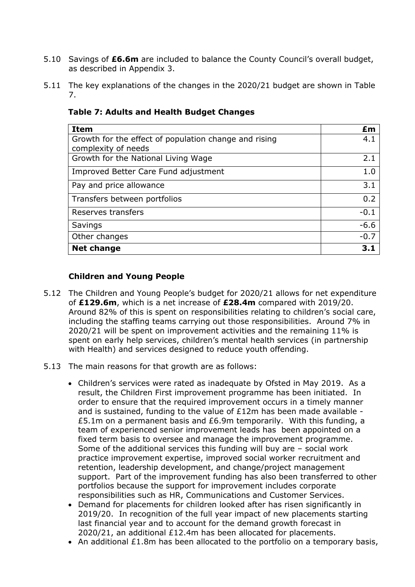- 5.10 Savings of **£6.6m** are included to balance the County Council's overall budget, as described in Appendix 3.
- 5.11 The key explanations of the changes in the 2020/21 budget are shown in Table 7.

| <b>Item</b>                                           | £m     |
|-------------------------------------------------------|--------|
| Growth for the effect of population change and rising | 4.1    |
| complexity of needs                                   |        |
| Growth for the National Living Wage                   | 2.1    |
| Improved Better Care Fund adjustment                  | 1.0    |
| Pay and price allowance                               | 3.1    |
| Transfers between portfolios                          | 0.2    |
| Reserves transfers                                    | $-0.1$ |
| Savings                                               | $-6.6$ |
| Other changes                                         | $-0.7$ |
| <b>Net change</b>                                     |        |

#### **Table 7: Adults and Health Budget Changes**

#### **Children and Young People**

- 5.12 The Children and Young People's budget for 2020/21 allows for net expenditure of **£129.6m**, which is a net increase of **£28.4m** compared with 2019/20. Around 82% of this is spent on responsibilities relating to children's social care, including the staffing teams carrying out those responsibilities. Around 7% in 2020/21 will be spent on improvement activities and the remaining 11% is spent on early help services, children's mental health services (in partnership with Health) and services designed to reduce youth offending.
- 5.13 The main reasons for that growth are as follows:
	- Children's services were rated as inadequate by Ofsted in May 2019. As a result, the Children First improvement programme has been initiated. In order to ensure that the required improvement occurs in a timely manner and is sustained, funding to the value of  $£12m$  has been made available -£5.1m on a permanent basis and £6.9m temporarily. With this funding, a team of experienced senior improvement leads has been appointed on a fixed term basis to oversee and manage the improvement programme. Some of the additional services this funding will buy are – social work practice improvement expertise, improved social worker recruitment and retention, leadership development, and change/project management support. Part of the improvement funding has also been transferred to other portfolios because the support for improvement includes corporate responsibilities such as HR, Communications and Customer Services.
	- Demand for placements for children looked after has risen significantly in 2019/20. In recognition of the full year impact of new placements starting last financial year and to account for the demand growth forecast in 2020/21, an additional £12.4m has been allocated for placements.
	- An additional £1.8m has been allocated to the portfolio on a temporary basis,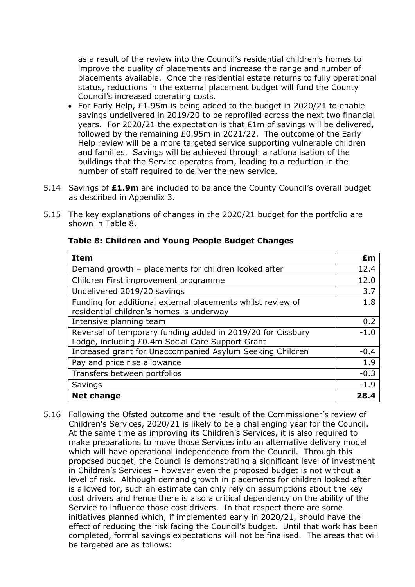as a result of the review into the Council's residential children's homes to improve the quality of placements and increase the range and number of placements available. Once the residential estate returns to fully operational status, reductions in the external placement budget will fund the County Council's increased operating costs.

- For Early Help, £1.95m is being added to the budget in 2020/21 to enable savings undelivered in 2019/20 to be reprofiled across the next two financial years. For 2020/21 the expectation is that £1m of savings will be delivered, followed by the remaining £0.95m in 2021/22. The outcome of the Early Help review will be a more targeted service supporting vulnerable children and families. Savings will be achieved through a rationalisation of the buildings that the Service operates from, leading to a reduction in the number of staff required to deliver the new service.
- 5.14 Savings of **£1.9m** are included to balance the County Council's overall budget as described in Appendix 3.
- 5.15 The key explanations of changes in the 2020/21 budget for the portfolio are shown in Table 8.

| <b>Item</b>                                                                                                     | £m     |
|-----------------------------------------------------------------------------------------------------------------|--------|
| Demand growth - placements for children looked after                                                            | 12.4   |
| Children First improvement programme                                                                            | 12.0   |
| Undelivered 2019/20 savings                                                                                     | 3.7    |
| Funding for additional external placements whilst review of<br>residential children's homes is underway         | 1.8    |
| Intensive planning team                                                                                         | 0.2    |
| Reversal of temporary funding added in 2019/20 for Cissbury<br>Lodge, including £0.4m Social Care Support Grant | $-1.0$ |
| Increased grant for Unaccompanied Asylum Seeking Children                                                       | $-0.4$ |
| Pay and price rise allowance                                                                                    | 1.9    |
| Transfers between portfolios                                                                                    | $-0.3$ |
| Savings                                                                                                         | $-1.9$ |
| <b>Net change</b>                                                                                               | 28.4   |

#### **Table 8: Children and Young People Budget Changes**

5.16 Following the Ofsted outcome and the result of the Commissioner's review of Children's Services, 2020/21 is likely to be a challenging year for the Council. At the same time as improving its Children's Services, it is also required to make preparations to move those Services into an alternative delivery model which will have operational independence from the Council. Through this proposed budget, the Council is demonstrating a significant level of investment in Children's Services – however even the proposed budget is not without a level of risk. Although demand growth in placements for children looked after is allowed for, such an estimate can only rely on assumptions about the key cost drivers and hence there is also a critical dependency on the ability of the Service to influence those cost drivers. In that respect there are some initiatives planned which, if implemented early in 2020/21, should have the effect of reducing the risk facing the Council's budget. Until that work has been completed, formal savings expectations will not be finalised. The areas that will be targeted are as follows: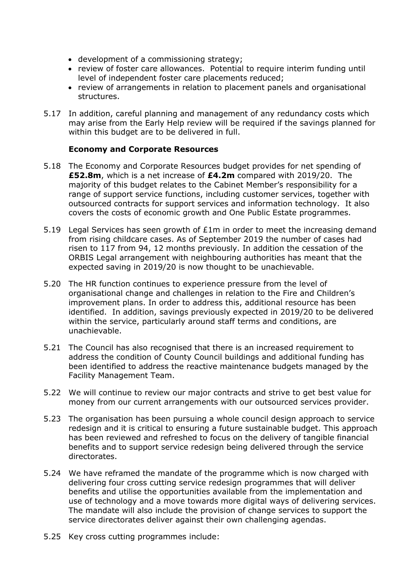- development of a commissioning strategy;
- review of foster care allowances. Potential to require interim funding until level of independent foster care placements reduced;
- review of arrangements in relation to placement panels and organisational structures.
- 5.17 In addition, careful planning and management of any redundancy costs which may arise from the Early Help review will be required if the savings planned for within this budget are to be delivered in full.

#### **Economy and Corporate Resources**

- 5.18 The Economy and Corporate Resources budget provides for net spending of **£52.8m**, which is a net increase of **£4.2m** compared with 2019/20. The majority of this budget relates to the Cabinet Member's responsibility for a range of support service functions, including customer services, together with outsourced contracts for support services and information technology. It also covers the costs of economic growth and One Public Estate programmes.
- 5.19 Legal Services has seen growth of £1m in order to meet the increasing demand from rising childcare cases. As of September 2019 the number of cases had risen to 117 from 94, 12 months previously. In addition the cessation of the ORBIS Legal arrangement with neighbouring authorities has meant that the expected saving in 2019/20 is now thought to be unachievable.
- 5.20 The HR function continues to experience pressure from the level of organisational change and challenges in relation to the Fire and Children's improvement plans. In order to address this, additional resource has been identified. In addition, savings previously expected in 2019/20 to be delivered within the service, particularly around staff terms and conditions, are unachievable.
- 5.21 The Council has also recognised that there is an increased requirement to address the condition of County Council buildings and additional funding has been identified to address the reactive maintenance budgets managed by the Facility Management Team.
- 5.22 We will continue to review our major contracts and strive to get best value for money from our current arrangements with our outsourced services provider.
- 5.23 The organisation has been pursuing a whole council design approach to service redesign and it is critical to ensuring a future sustainable budget. This approach has been reviewed and refreshed to focus on the delivery of tangible financial benefits and to support service redesign being delivered through the service directorates.
- 5.24 We have reframed the mandate of the programme which is now charged with delivering four cross cutting service redesign programmes that will deliver benefits and utilise the opportunities available from the implementation and use of technology and a move towards more digital ways of delivering services. The mandate will also include the provision of change services to support the service directorates deliver against their own challenging agendas.
- 5.25 Key cross cutting programmes include: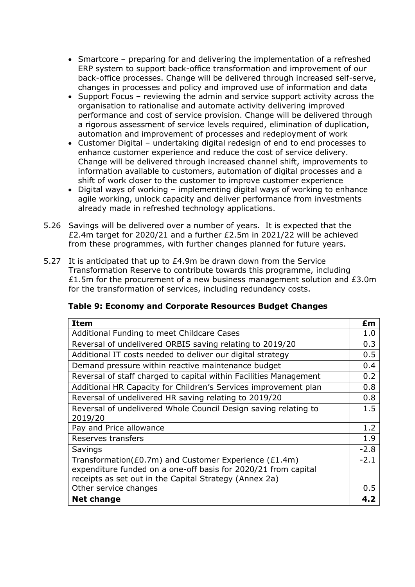- Smartcore preparing for and delivering the implementation of a refreshed ERP system to support back-office transformation and improvement of our back-office processes. Change will be delivered through increased self-serve, changes in processes and policy and improved use of information and data
- Support Focus reviewing the admin and service support activity across the organisation to rationalise and automate activity delivering improved performance and cost of service provision. Change will be delivered through a rigorous assessment of service levels required, elimination of duplication, automation and improvement of processes and redeployment of work
- Customer Digital undertaking digital redesign of end to end processes to enhance customer experience and reduce the cost of service delivery. Change will be delivered through increased channel shift, improvements to information available to customers, automation of digital processes and a shift of work closer to the customer to improve customer experience
- Digital ways of working implementing digital ways of working to enhance agile working, unlock capacity and deliver performance from investments already made in refreshed technology applications.
- 5.26 Savings will be delivered over a number of years. It is expected that the £2.4m target for 2020/21 and a further £2.5m in 2021/22 will be achieved from these programmes, with further changes planned for future years.
- 5.27 It is anticipated that up to £4.9m be drawn down from the Service Transformation Reserve to contribute towards this programme, including £1.5m for the procurement of a new business management solution and £3.0m for the transformation of services, including redundancy costs.

|  | Table 9: Economy and Corporate Resources Budget Changes |  |
|--|---------------------------------------------------------|--|
|--|---------------------------------------------------------|--|

| <b>Item</b>                                                                                                                                                                       | £m     |
|-----------------------------------------------------------------------------------------------------------------------------------------------------------------------------------|--------|
| Additional Funding to meet Childcare Cases                                                                                                                                        | 1.0    |
| Reversal of undelivered ORBIS saving relating to 2019/20                                                                                                                          | 0.3    |
| Additional IT costs needed to deliver our digital strategy                                                                                                                        | 0.5    |
| Demand pressure within reactive maintenance budget                                                                                                                                | 0.4    |
| Reversal of staff charged to capital within Facilities Management                                                                                                                 | 0.2    |
| Additional HR Capacity for Children's Services improvement plan                                                                                                                   | 0.8    |
| Reversal of undelivered HR saving relating to 2019/20                                                                                                                             | 0.8    |
| Reversal of undelivered Whole Council Design saving relating to<br>2019/20                                                                                                        | 1.5    |
| Pay and Price allowance                                                                                                                                                           | 1.2    |
| Reserves transfers                                                                                                                                                                | 1.9    |
| Savings                                                                                                                                                                           | $-2.8$ |
| Transformation(£0.7m) and Customer Experience (£1.4m)<br>expenditure funded on a one-off basis for 2020/21 from capital<br>receipts as set out in the Capital Strategy (Annex 2a) | $-2.1$ |
| Other service changes                                                                                                                                                             | 0.5    |
| <b>Net change</b>                                                                                                                                                                 | 4.2    |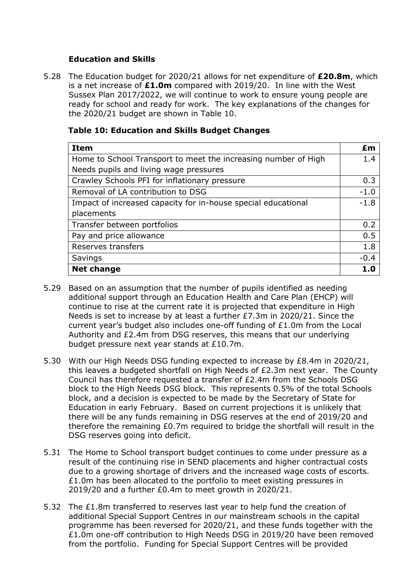### **Education and Skills**

5.28 The Education budget for 2020/21 allows for net expenditure of **£20.8m**, which is a net increase of **£1.0m** compared with 2019/20. In line with the West Sussex Plan 2017/2022, we will continue to work to ensure young people are ready for school and ready for work. The key explanations of the changes for the 2020/21 budget are shown in Table 10.

| <b>Item</b>                                                    | £m     |
|----------------------------------------------------------------|--------|
| Home to School Transport to meet the increasing number of High | 1.4    |
| Needs pupils and living wage pressures                         |        |
| Crawley Schools PFI for inflationary pressure                  | 0.3    |
| Removal of LA contribution to DSG                              | $-1.0$ |
| Impact of increased capacity for in-house special educational  | $-1.8$ |
| placements                                                     |        |
| Transfer between portfolios                                    | 0.2    |
| Pay and price allowance                                        | 0.5    |
| Reserves transfers                                             | 1.8    |
| Savings                                                        | $-0.4$ |
| <b>Net change</b>                                              |        |

### **Table 10: Education and Skills Budget Changes**

- 5.29 Based on an assumption that the number of pupils identified as needing additional support through an Education Health and Care Plan (EHCP) will continue to rise at the current rate it is projected that expenditure in High Needs is set to increase by at least a further £7.3m in 2020/21. Since the current year's budget also includes one-off funding of £1.0m from the Local Authority and £2.4m from DSG reserves, this means that our underlying budget pressure next year stands at £10.7m.
- 5.30 With our High Needs DSG funding expected to increase by £8.4m in 2020/21, this leaves a budgeted shortfall on High Needs of £2.3m next year. The County Council has therefore requested a transfer of £2.4m from the Schools DSG block to the High Needs DSG block. This represents 0.5% of the total Schools block, and a decision is expected to be made by the Secretary of State for Education in early February. Based on current projections it is unlikely that there will be any funds remaining in DSG reserves at the end of 2019/20 and therefore the remaining £0.7m required to bridge the shortfall will result in the DSG reserves going into deficit.
- 5.31 The Home to School transport budget continues to come under pressure as a result of the continuing rise in SEND placements and higher contractual costs due to a growing shortage of drivers and the increased wage costs of escorts. £1.0m has been allocated to the portfolio to meet existing pressures in 2019/20 and a further £0.4m to meet growth in 2020/21.
- 5.32 The £1.8m transferred to reserves last year to help fund the creation of additional Special Support Centres in our mainstream schools in the capital programme has been reversed for 2020/21, and these funds together with the £1.0m one-off contribution to High Needs DSG in 2019/20 have been removed from the portfolio. Funding for Special Support Centres will be provided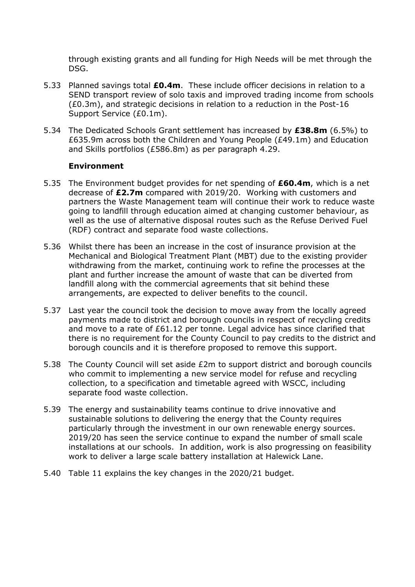through existing grants and all funding for High Needs will be met through the DSG.

- 5.33 Planned savings total **£0.4m**. These include officer decisions in relation to a SEND transport review of solo taxis and improved trading income from schools (£0.3m), and strategic decisions in relation to a reduction in the Post-16 Support Service (£0.1m).
- 5.34 The Dedicated Schools Grant settlement has increased by **£38.8m** (6.5%) to £635.9m across both the Children and Young People (£49.1m) and Education and Skills portfolios (£586.8m) as per paragraph 4.29.

#### **Environment**

- 5.35 The Environment budget provides for net spending of **£60.4m**, which is a net decrease of **£2.7m** compared with 2019/20. Working with customers and partners the Waste Management team will continue their work to reduce waste going to landfill through education aimed at changing customer behaviour, as well as the use of alternative disposal routes such as the Refuse Derived Fuel (RDF) contract and separate food waste collections.
- 5.36 Whilst there has been an increase in the cost of insurance provision at the Mechanical and Biological Treatment Plant (MBT) due to the existing provider withdrawing from the market, continuing work to refine the processes at the plant and further increase the amount of waste that can be diverted from landfill along with the commercial agreements that sit behind these arrangements, are expected to deliver benefits to the council.
- 5.37 Last year the council took the decision to move away from the locally agreed payments made to district and borough councils in respect of recycling credits and move to a rate of £61.12 per tonne. Legal advice has since clarified that there is no requirement for the County Council to pay credits to the district and borough councils and it is therefore proposed to remove this support.
- 5.38 The County Council will set aside £2m to support district and borough councils who commit to implementing a new service model for refuse and recycling collection, to a specification and timetable agreed with WSCC, including separate food waste collection.
- 5.39 The energy and sustainability teams continue to drive innovative and sustainable solutions to delivering the energy that the County requires particularly through the investment in our own renewable energy sources. 2019/20 has seen the service continue to expand the number of small scale installations at our schools. In addition, work is also progressing on feasibility work to deliver a large scale battery installation at Halewick Lane.
- 5.40 Table 11 explains the key changes in the 2020/21 budget.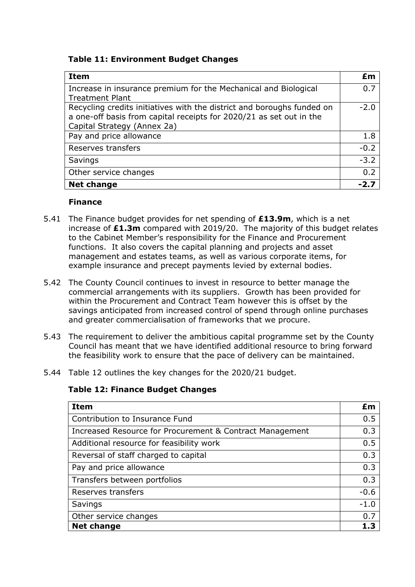### **Table 11: Environment Budget Changes**

| <b>Item</b>                                                            | £m     |
|------------------------------------------------------------------------|--------|
| Increase in insurance premium for the Mechanical and Biological        | 0.7    |
| <b>Treatment Plant</b>                                                 |        |
| Recycling credits initiatives with the district and boroughs funded on | $-2.0$ |
| a one-off basis from capital receipts for 2020/21 as set out in the    |        |
| Capital Strategy (Annex 2a)                                            |        |
| Pay and price allowance                                                | 1.8    |
| Reserves transfers                                                     | $-0.2$ |
| Savings                                                                | $-3.2$ |
| Other service changes                                                  | 0.2    |
| <b>Net change</b>                                                      |        |

#### **Finance**

- 5.41 The Finance budget provides for net spending of **£13.9m**, which is a net increase of **£1.3m** compared with 2019/20. The majority of this budget relates to the Cabinet Member's responsibility for the Finance and Procurement functions. It also covers the capital planning and projects and asset management and estates teams, as well as various corporate items, for example insurance and precept payments levied by external bodies.
- 5.42 The County Council continues to invest in resource to better manage the commercial arrangements with its suppliers. Growth has been provided for within the Procurement and Contract Team however this is offset by the savings anticipated from increased control of spend through online purchases and greater commercialisation of frameworks that we procure.
- 5.43 The requirement to deliver the ambitious capital programme set by the County Council has meant that we have identified additional resource to bring forward the feasibility work to ensure that the pace of delivery can be maintained.
- 5.44 Table 12 outlines the key changes for the 2020/21 budget.

#### **Table 12: Finance Budget Changes**

| <b>Item</b>                                              | £m     |
|----------------------------------------------------------|--------|
| Contribution to Insurance Fund                           | 0.5    |
| Increased Resource for Procurement & Contract Management | 0.3    |
| Additional resource for feasibility work                 | 0.5    |
| Reversal of staff charged to capital                     | 0.3    |
| Pay and price allowance                                  | 0.3    |
| Transfers between portfolios                             | 0.3    |
| Reserves transfers                                       | $-0.6$ |
| Savings                                                  | $-1.0$ |
| Other service changes                                    | 0.7    |
| <b>Net change</b>                                        | 1.3    |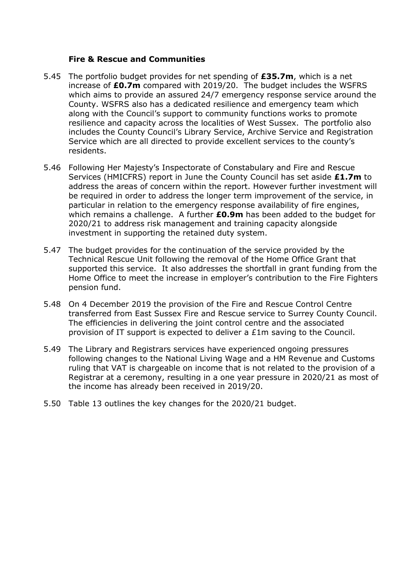#### **Fire & Rescue and Communities**

- 5.45 The portfolio budget provides for net spending of **£35.7m**, which is a net increase of **£0.7m** compared with 2019/20. The budget includes the WSFRS which aims to provide an assured 24/7 emergency response service around the County. WSFRS also has a dedicated resilience and emergency team which along with the Council's support to community functions works to promote resilience and capacity across the localities of West Sussex. The portfolio also includes the County Council's Library Service, Archive Service and Registration Service which are all directed to provide excellent services to the county's residents.
- 5.46 Following Her Majesty's Inspectorate of Constabulary and Fire and Rescue Services (HMICFRS) report in June the County Council has set aside **£1.7m** to address the areas of concern within the report. However further investment will be required in order to address the longer term improvement of the service, in particular in relation to the emergency response availability of fire engines, which remains a challenge. A further **£0.9m** has been added to the budget for 2020/21 to address risk management and training capacity alongside investment in supporting the retained duty system.
- 5.47 The budget provides for the continuation of the service provided by the Technical Rescue Unit following the removal of the Home Office Grant that supported this service. It also addresses the shortfall in grant funding from the Home Office to meet the increase in employer's contribution to the Fire Fighters pension fund.
- 5.48 On 4 December 2019 the provision of the Fire and Rescue Control Centre transferred from East Sussex Fire and Rescue service to Surrey County Council. The efficiencies in delivering the joint control centre and the associated provision of IT support is expected to deliver a £1m saving to the Council.
- 5.49 The Library and Registrars services have experienced ongoing pressures following changes to the National Living Wage and a HM Revenue and Customs ruling that VAT is chargeable on income that is not related to the provision of a Registrar at a ceremony, resulting in a one year pressure in 2020/21 as most of the income has already been received in 2019/20.
- 5.50 Table 13 outlines the key changes for the 2020/21 budget.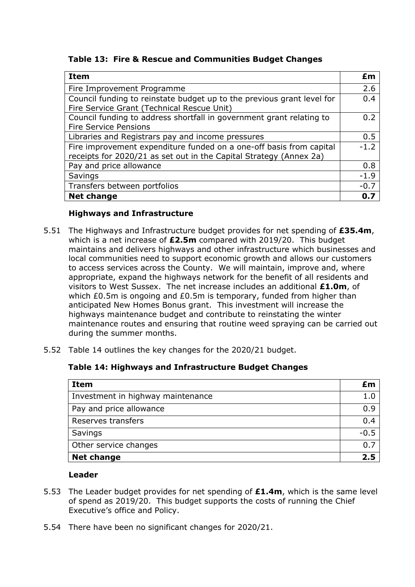**Table 13: Fire & Rescue and Communities Budget Changes**

| <b>Item</b>                                                                                                                               | £m     |
|-------------------------------------------------------------------------------------------------------------------------------------------|--------|
| Fire Improvement Programme                                                                                                                | 2.6    |
| Council funding to reinstate budget up to the previous grant level for<br>Fire Service Grant (Technical Rescue Unit)                      | 0.4    |
| Council funding to address shortfall in government grant relating to<br><b>Fire Service Pensions</b>                                      | 0.2    |
| Libraries and Registrars pay and income pressures                                                                                         | 0.5    |
| Fire improvement expenditure funded on a one-off basis from capital<br>receipts for 2020/21 as set out in the Capital Strategy (Annex 2a) | $-1.2$ |
| Pay and price allowance                                                                                                                   | 0.8    |
| Savings                                                                                                                                   | $-1.9$ |
| Transfers between portfolios                                                                                                              | $-0.7$ |
| <b>Net change</b>                                                                                                                         | 0.7    |

## **Highways and Infrastructure**

- 5.51 The Highways and Infrastructure budget provides for net spending of **£35.4m**, which is a net increase of **£2.5m** compared with 2019/20. This budget maintains and delivers highways and other infrastructure which businesses and local communities need to support economic growth and allows our customers to access services across the County. We will maintain, improve and, where appropriate, expand the highways network for the benefit of all residents and visitors to West Sussex. The net increase includes an additional **£1.0m**, of which £0.5m is ongoing and £0.5m is temporary, funded from higher than anticipated New Homes Bonus grant. This investment will increase the highways maintenance budget and contribute to reinstating the winter maintenance routes and ensuring that routine weed spraying can be carried out during the summer months.
- 5.52 Table 14 outlines the key changes for the 2020/21 budget.

### **Table 14: Highways and Infrastructure Budget Changes**

| <b>Item</b>                       | £m     |
|-----------------------------------|--------|
| Investment in highway maintenance | 1.0    |
| Pay and price allowance           | 0.9    |
| Reserves transfers                | 0.4    |
| Savings                           | $-0.5$ |
| Other service changes             | 0.7    |
| <b>Net change</b>                 | 2.5    |

### **Leader**

- 5.53 The Leader budget provides for net spending of **£1.4m**, which is the same level of spend as 2019/20. This budget supports the costs of running the Chief Executive's office and Policy.
- 5.54 There have been no significant changes for 2020/21.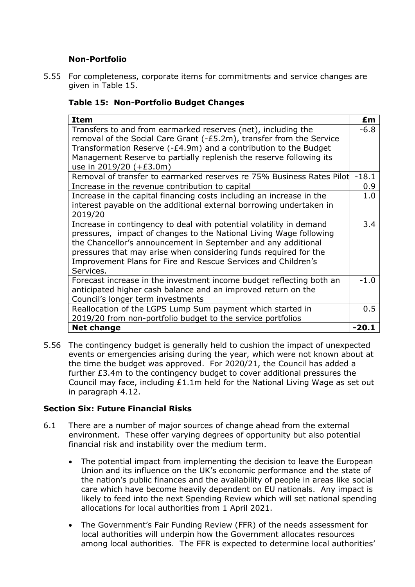## **Non-Portfolio**

5.55 For completeness, corporate items for commitments and service changes are given in Table 15.

## **Table 15: Non-Portfolio Budget Changes**

| <b>Item</b>                                                                                    | £m      |
|------------------------------------------------------------------------------------------------|---------|
| Transfers to and from earmarked reserves (net), including the                                  | $-6.8$  |
| removal of the Social Care Grant (-£5.2m), transfer from the Service                           |         |
| Transformation Reserve (-£4.9m) and a contribution to the Budget                               |         |
| Management Reserve to partially replenish the reserve following its<br>use in 2019/20 (+£3.0m) |         |
| Removal of transfer to earmarked reserves re 75% Business Rates Pilot                          | $-18.1$ |
| Increase in the revenue contribution to capital                                                | 0.9     |
| Increase in the capital financing costs including an increase in the                           | 1.0     |
| interest payable on the additional external borrowing undertaken in                            |         |
| 2019/20                                                                                        |         |
| Increase in contingency to deal with potential volatility in demand                            | 3.4     |
| pressures, impact of changes to the National Living Wage following                             |         |
| the Chancellor's announcement in September and any additional                                  |         |
| pressures that may arise when considering funds required for the                               |         |
| Improvement Plans for Fire and Rescue Services and Children's                                  |         |
| Services.                                                                                      |         |
| Forecast increase in the investment income budget reflecting both an                           | $-1.0$  |
| anticipated higher cash balance and an improved return on the                                  |         |
| Council's longer term investments                                                              |         |
| Reallocation of the LGPS Lump Sum payment which started in                                     | 0.5     |
| 2019/20 from non-portfolio budget to the service portfolios                                    |         |
| <b>Net change</b>                                                                              | $-20.1$ |

5.56 The contingency budget is generally held to cushion the impact of unexpected events or emergencies arising during the year, which were not known about at the time the budget was approved. For 2020/21, the Council has added a further £3.4m to the contingency budget to cover additional pressures the Council may face, including £1.1m held for the National Living Wage as set out in paragraph 4.12.

### **Section Six: Future Financial Risks**

- 6.1 There are a number of major sources of change ahead from the external environment. These offer varying degrees of opportunity but also potential financial risk and instability over the medium term.
	- The potential impact from implementing the decision to leave the European Union and its influence on the UK's economic performance and the state of the nation's public finances and the availability of people in areas like social care which have become heavily dependent on EU nationals. Any impact is likely to feed into the next Spending Review which will set national spending allocations for local authorities from 1 April 2021.
	- The Government's Fair Funding Review (FFR) of the needs assessment for local authorities will underpin how the Government allocates resources among local authorities. The FFR is expected to determine local authorities'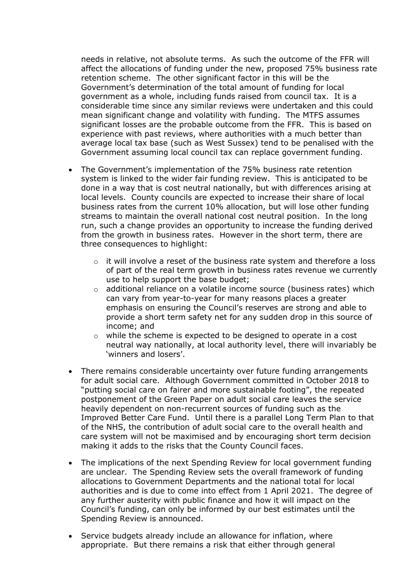needs in relative, not absolute terms. As such the outcome of the FFR will affect the allocations of funding under the new, proposed 75% business rate retention scheme. The other significant factor in this will be the Government's determination of the total amount of funding for local government as a whole, including funds raised from council tax. It is a considerable time since any similar reviews were undertaken and this could mean significant change and volatility with funding. The MTFS assumes significant losses are the probable outcome from the FFR. This is based on experience with past reviews, where authorities with a much better than average local tax base (such as West Sussex) tend to be penalised with the Government assuming local council tax can replace government funding.

- The Government's implementation of the 75% business rate retention system is linked to the wider fair funding review. This is anticipated to be done in a way that is cost neutral nationally, but with differences arising at local levels. County councils are expected to increase their share of local business rates from the current 10% allocation, but will lose other funding streams to maintain the overall national cost neutral position. In the long run, such a change provides an opportunity to increase the funding derived from the growth in business rates. However in the short term, there are three consequences to highlight:
	- o it will involve a reset of the business rate system and therefore a loss of part of the real term growth in business rates revenue we currently use to help support the base budget;
	- $\circ$  additional reliance on a volatile income source (business rates) which can vary from year-to-year for many reasons places a greater emphasis on ensuring the Council's reserves are strong and able to provide a short term safety net for any sudden drop in this source of income; and
	- $\circ$  while the scheme is expected to be designed to operate in a cost neutral way nationally, at local authority level, there will invariably be 'winners and losers'.
- There remains considerable uncertainty over future funding arrangements for adult social care. Although Government committed in October 2018 to "putting social care on fairer and more sustainable footing", the repeated postponement of the Green Paper on adult social care leaves the service heavily dependent on non-recurrent sources of funding such as the Improved Better Care Fund. Until there is a parallel Long Term Plan to that of the NHS, the contribution of adult social care to the overall health and care system will not be maximised and by encouraging short term decision making it adds to the risks that the County Council faces.
- The implications of the next Spending Review for local government funding are unclear. The Spending Review sets the overall framework of funding allocations to Government Departments and the national total for local authorities and is due to come into effect from 1 April 2021. The degree of any further austerity with public finance and how it will impact on the Council's funding, can only be informed by our best estimates until the Spending Review is announced.
- Service budgets already include an allowance for inflation, where appropriate. But there remains a risk that either through general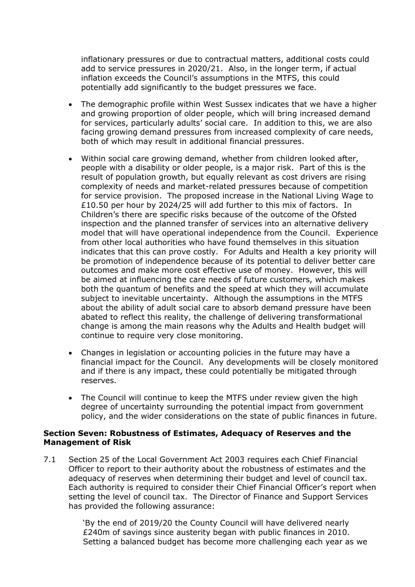inflationary pressures or due to contractual matters, additional costs could add to service pressures in 2020/21. Also, in the longer term, if actual inflation exceeds the Council's assumptions in the MTFS, this could potentially add significantly to the budget pressures we face.

- The demographic profile within West Sussex indicates that we have a higher and growing proportion of older people, which will bring increased demand for services, particularly adults' social care. In addition to this, we are also facing growing demand pressures from increased complexity of care needs, both of which may result in additional financial pressures.
- Within social care growing demand, whether from children looked after, people with a disability or older people, is a major risk. Part of this is the result of population growth, but equally relevant as cost drivers are rising complexity of needs and market-related pressures because of competition for service provision. The proposed increase in the National Living Wage to £10.50 per hour by 2024/25 will add further to this mix of factors. In Children's there are specific risks because of the outcome of the Ofsted inspection and the planned transfer of services into an alternative delivery model that will have operational independence from the Council. Experience from other local authorities who have found themselves in this situation indicates that this can prove costly. For Adults and Health a key priority will be promotion of independence because of its potential to deliver better care outcomes and make more cost effective use of money. However, this will be aimed at influencing the care needs of future customers, which makes both the quantum of benefits and the speed at which they will accumulate subject to inevitable uncertainty. Although the assumptions in the MTFS about the ability of adult social care to absorb demand pressure have been abated to reflect this reality, the challenge of delivering transformational change is among the main reasons why the Adults and Health budget will continue to require very close monitoring.
- Changes in legislation or accounting policies in the future may have a financial impact for the Council. Any developments will be closely monitored and if there is any impact, these could potentially be mitigated through reserves.
- The Council will continue to keep the MTFS under review given the high degree of uncertainty surrounding the potential impact from government policy, and the wider considerations on the state of public finances in future.

#### **Section Seven: Robustness of Estimates, Adequacy of Reserves and the Management of Risk**

7.1 Section 25 of the Local Government Act 2003 requires each Chief Financial Officer to report to their authority about the robustness of estimates and the adequacy of reserves when determining their budget and level of council tax. Each authority is required to consider their Chief Financial Officer's report when setting the level of council tax. The Director of Finance and Support Services has provided the following assurance:

> 'By the end of 2019/20 the County Council will have delivered nearly £240m of savings since austerity began with public finances in 2010. Setting a balanced budget has become more challenging each year as we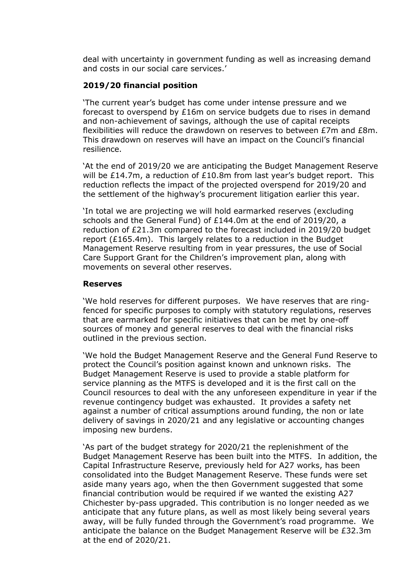deal with uncertainty in government funding as well as increasing demand and costs in our social care services.'

#### **2019/20 financial position**

'The current year's budget has come under intense pressure and we forecast to overspend by £16m on service budgets due to rises in demand and non-achievement of savings, although the use of capital receipts flexibilities will reduce the drawdown on reserves to between £7m and £8m. This drawdown on reserves will have an impact on the Council's financial resilience.

'At the end of 2019/20 we are anticipating the Budget Management Reserve will be £14.7m, a reduction of £10.8m from last year's budget report. This reduction reflects the impact of the projected overspend for 2019/20 and the settlement of the highway's procurement litigation earlier this year.

'In total we are projecting we will hold earmarked reserves (excluding schools and the General Fund) of £144.0m at the end of 2019/20, a reduction of £21.3m compared to the forecast included in 2019/20 budget report (£165.4m). This largely relates to a reduction in the Budget Management Reserve resulting from in year pressures, the use of Social Care Support Grant for the Children's improvement plan, along with movements on several other reserves.

#### **Reserves**

'We hold reserves for different purposes. We have reserves that are ringfenced for specific purposes to comply with statutory regulations, reserves that are earmarked for specific initiatives that can be met by one-off sources of money and general reserves to deal with the financial risks outlined in the previous section.

'We hold the Budget Management Reserve and the General Fund Reserve to protect the Council's position against known and unknown risks. The Budget Management Reserve is used to provide a stable platform for service planning as the MTFS is developed and it is the first call on the Council resources to deal with the any unforeseen expenditure in year if the revenue contingency budget was exhausted. It provides a safety net against a number of critical assumptions around funding, the non or late delivery of savings in 2020/21 and any legislative or accounting changes imposing new burdens.

'As part of the budget strategy for 2020/21 the replenishment of the Budget Management Reserve has been built into the MTFS. In addition, the Capital Infrastructure Reserve, previously held for A27 works, has been consolidated into the Budget Management Reserve. These funds were set aside many years ago, when the then Government suggested that some financial contribution would be required if we wanted the existing A27 Chichester by-pass upgraded. This contribution is no longer needed as we anticipate that any future plans, as well as most likely being several years away, will be fully funded through the Government's road programme. We anticipate the balance on the Budget Management Reserve will be £32.3m at the end of 2020/21.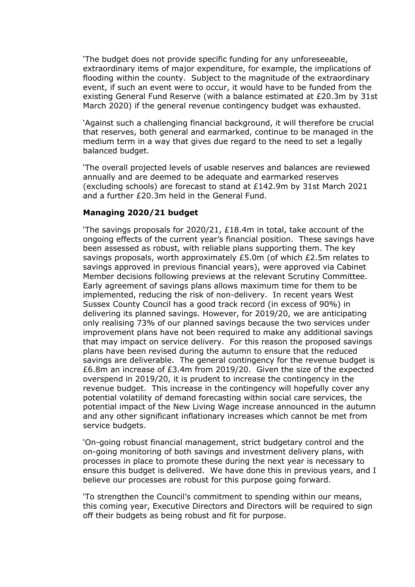'The budget does not provide specific funding for any unforeseeable, extraordinary items of major expenditure, for example, the implications of flooding within the county. Subject to the magnitude of the extraordinary event, if such an event were to occur, it would have to be funded from the existing General Fund Reserve (with a balance estimated at £20.3m by 31st March 2020) if the general revenue contingency budget was exhausted.

'Against such a challenging financial background, it will therefore be crucial that reserves, both general and earmarked, continue to be managed in the medium term in a way that gives due regard to the need to set a legally balanced budget.

'The overall projected levels of usable reserves and balances are reviewed annually and are deemed to be adequate and earmarked reserves (excluding schools) are forecast to stand at £142.9m by 31st March 2021 and a further £20.3m held in the General Fund.

#### **Managing 2020/21 budget**

'The savings proposals for 2020/21, £18.4m in total, take account of the ongoing effects of the current year's financial position. These savings have been assessed as robust, with reliable plans supporting them. The key savings proposals, worth approximately £5.0m (of which £2.5m relates to savings approved in previous financial years), were approved via Cabinet Member decisions following previews at the relevant Scrutiny Committee. Early agreement of savings plans allows maximum time for them to be implemented, reducing the risk of non-delivery. In recent years West Sussex County Council has a good track record (in excess of 90%) in delivering its planned savings. However, for 2019/20, we are anticipating only realising 73% of our planned savings because the two services under improvement plans have not been required to make any additional savings that may impact on service delivery. For this reason the proposed savings plans have been revised during the autumn to ensure that the reduced savings are deliverable. The general contingency for the revenue budget is £6.8m an increase of £3.4m from 2019/20. Given the size of the expected overspend in 2019/20, it is prudent to increase the contingency in the revenue budget. This increase in the contingency will hopefully cover any potential volatility of demand forecasting within social care services, the potential impact of the New Living Wage increase announced in the autumn and any other significant inflationary increases which cannot be met from service budgets.

'On-going robust financial management, strict budgetary control and the on-going monitoring of both savings and investment delivery plans, with processes in place to promote these during the next year is necessary to ensure this budget is delivered. We have done this in previous years, and I believe our processes are robust for this purpose going forward.

'To strengthen the Council's commitment to spending within our means, this coming year, Executive Directors and Directors will be required to sign off their budgets as being robust and fit for purpose.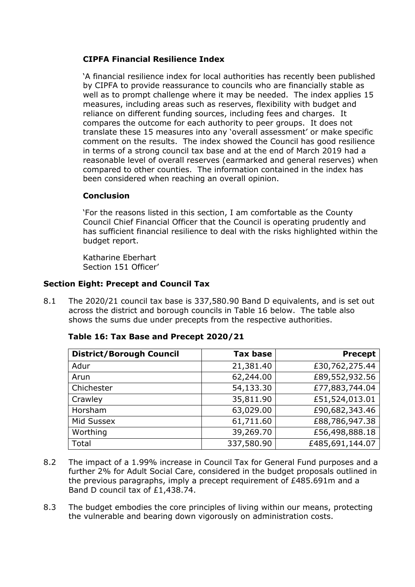## **CIPFA Financial Resilience Index**

'A financial resilience index for local authorities has recently been published by CIPFA to provide reassurance to councils who are financially stable as well as to prompt challenge where it may be needed. The index applies 15 measures, including areas such as reserves, flexibility with budget and reliance on different funding sources, including fees and charges. It compares the outcome for each authority to peer groups. It does not translate these 15 measures into any 'overall assessment' or make specific comment on the results. The index showed the Council has good resilience in terms of a strong council tax base and at the end of March 2019 had a reasonable level of overall reserves (earmarked and general reserves) when compared to other counties. The information contained in the index has been considered when reaching an overall opinion.

## **Conclusion**

'For the reasons listed in this section, I am comfortable as the County Council Chief Financial Officer that the Council is operating prudently and has sufficient financial resilience to deal with the risks highlighted within the budget report.

Katharine Eberhart Section 151 Officer'

## **Section Eight: Precept and Council Tax**

8.1 The 2020/21 council tax base is 337,580.90 Band D equivalents, and is set out across the district and borough councils in Table 16 below. The table also shows the sums due under precepts from the respective authorities.

| <b>District/Borough Council</b> | <b>Tax base</b> | <b>Precept</b>  |
|---------------------------------|-----------------|-----------------|
| Adur                            | 21,381.40       | £30,762,275.44  |
| Arun                            | 62,244.00       | £89,552,932.56  |
| Chichester                      | 54,133.30       | £77,883,744.04  |
| Crawley                         | 35,811.90       | £51,524,013.01  |
| Horsham                         | 63,029.00       | £90,682,343.46  |
| Mid Sussex                      | 61,711.60       | £88,786,947.38  |
| Worthing                        | 39,269.70       | £56,498,888.18  |
| Total                           | 337,580.90      | £485,691,144.07 |

|  | Table 16: Tax Base and Precept 2020/21 |  |  |
|--|----------------------------------------|--|--|
|  |                                        |  |  |

- 8.2 The impact of a 1.99% increase in Council Tax for General Fund purposes and a further 2% for Adult Social Care, considered in the budget proposals outlined in the previous paragraphs, imply a precept requirement of £485.691m and a Band D council tax of £1,438.74.
- 8.3 The budget embodies the core principles of living within our means, protecting the vulnerable and bearing down vigorously on administration costs.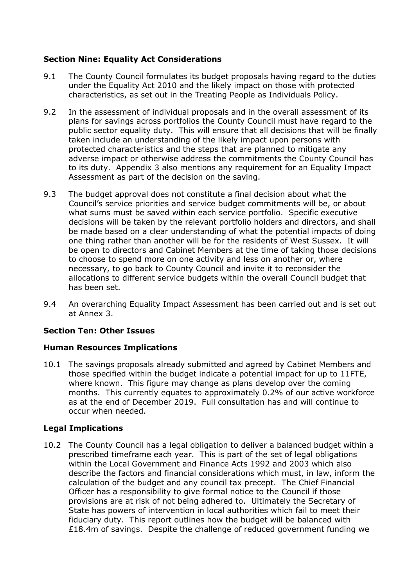## **Section Nine: Equality Act Considerations**

- 9.1 The County Council formulates its budget proposals having regard to the duties under the Equality Act 2010 and the likely impact on those with protected characteristics, as set out in the Treating People as Individuals Policy.
- 9.2 In the assessment of individual proposals and in the overall assessment of its plans for savings across portfolios the County Council must have regard to the public sector equality duty. This will ensure that all decisions that will be finally taken include an understanding of the likely impact upon persons with protected characteristics and the steps that are planned to mitigate any adverse impact or otherwise address the commitments the County Council has to its duty. Appendix 3 also mentions any requirement for an Equality Impact Assessment as part of the decision on the saving.
- 9.3 The budget approval does not constitute a final decision about what the Council's service priorities and service budget commitments will be, or about what sums must be saved within each service portfolio. Specific executive decisions will be taken by the relevant portfolio holders and directors, and shall be made based on a clear understanding of what the potential impacts of doing one thing rather than another will be for the residents of West Sussex. It will be open to directors and Cabinet Members at the time of taking those decisions to choose to spend more on one activity and less on another or, where necessary, to go back to County Council and invite it to reconsider the allocations to different service budgets within the overall Council budget that has been set.
- 9.4 An overarching Equality Impact Assessment has been carried out and is set out at Annex 3.

### **Section Ten: Other Issues**

### **Human Resources Implications**

10.1 The savings proposals already submitted and agreed by Cabinet Members and those specified within the budget indicate a potential impact for up to 11FTE, where known. This figure may change as plans develop over the coming months. This currently equates to approximately 0.2% of our active workforce as at the end of December 2019. Full consultation has and will continue to occur when needed.

### **Legal Implications**

10.2 The County Council has a legal obligation to deliver a balanced budget within a prescribed timeframe each year. This is part of the set of legal obligations within the Local Government and Finance Acts 1992 and 2003 which also describe the factors and financial considerations which must, in law, inform the calculation of the budget and any council tax precept. The Chief Financial Officer has a responsibility to give formal notice to the Council if those provisions are at risk of not being adhered to. Ultimately the Secretary of State has powers of intervention in local authorities which fail to meet their fiduciary duty. This report outlines how the budget will be balanced with £18.4m of savings. Despite the challenge of reduced government funding we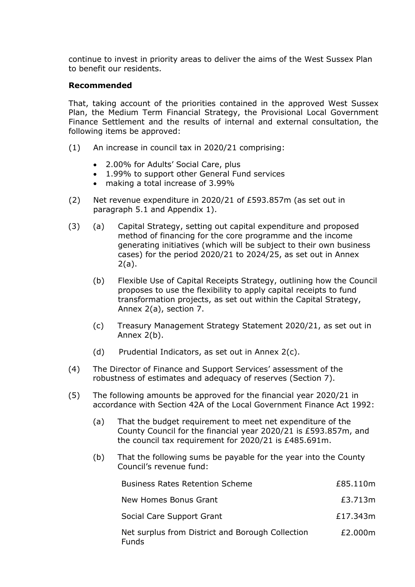continue to invest in priority areas to deliver the aims of the West Sussex Plan to benefit our residents.

#### **Recommended**

That, taking account of the priorities contained in the approved West Sussex Plan, the Medium Term Financial Strategy, the Provisional Local Government Finance Settlement and the results of internal and external consultation, the following items be approved:

- (1) An increase in council tax in 2020/21 comprising:
	- 2.00% for Adults' Social Care, plus
	- 1.99% to support other General Fund services
	- making a total increase of 3.99%
- (2) Net revenue expenditure in 2020/21 of £593.857m (as set out in paragraph 5.1 and Appendix 1).
- (3) (a) Capital Strategy, setting out capital expenditure and proposed method of financing for the core programme and the income generating initiatives (which will be subject to their own business cases) for the period 2020/21 to 2024/25, as set out in Annex 2(a).
	- (b) Flexible Use of Capital Receipts Strategy, outlining how the Council proposes to use the flexibility to apply capital receipts to fund transformation projects, as set out within the Capital Strategy, Annex 2(a), section 7.
	- (c) Treasury Management Strategy Statement 2020/21, as set out in Annex 2(b).
	- (d) Prudential Indicators, as set out in Annex 2(c).
- (4) The Director of Finance and Support Services' assessment of the robustness of estimates and adequacy of reserves (Section 7).
- (5) The following amounts be approved for the financial year 2020/21 in accordance with Section 42A of the Local Government Finance Act 1992:
	- (a) That the budget requirement to meet net expenditure of the County Council for the financial year 2020/21 is £593.857m, and the council tax requirement for 2020/21 is £485.691m.
	- (b) That the following sums be payable for the year into the County Council's revenue fund:

| <b>Business Rates Retention Scheme</b>                           | £85.110m |
|------------------------------------------------------------------|----------|
| New Homes Bonus Grant                                            | £3.713m  |
| Social Care Support Grant                                        | £17.343m |
| Net surplus from District and Borough Collection<br><b>Funds</b> | £2.000m  |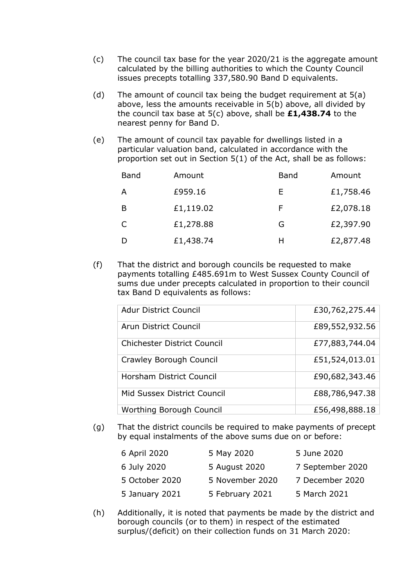- (c) The council tax base for the year 2020/21 is the aggregate amount calculated by the billing authorities to which the County Council issues precepts totalling 337,580.90 Band D equivalents.
- (d) The amount of council tax being the budget requirement at 5(a) above, less the amounts receivable in 5(b) above, all divided by the council tax base at 5(c) above, shall be **£1,438.74** to the nearest penny for Band D.
- (e) The amount of council tax payable for dwellings listed in a particular valuation band, calculated in accordance with the proportion set out in Section 5(1) of the Act, shall be as follows:

| <b>Band</b>  | Amount    | <b>Band</b> | Amount    |
|--------------|-----------|-------------|-----------|
| A            | £959.16   | Е           | £1,758.46 |
| B            | £1,119.02 | F           | £2,078.18 |
| $\mathsf{C}$ | £1,278.88 | G           | £2,397.90 |
|              | £1,438.74 | Н           | £2,877.48 |

(f) That the district and borough councils be requested to make payments totalling £485.691m to West Sussex County Council of sums due under precepts calculated in proportion to their council tax Band D equivalents as follows:

| <b>Adur District Council</b>       | £30,762,275.44 |
|------------------------------------|----------------|
| Arun District Council              | £89,552,932.56 |
| <b>Chichester District Council</b> | £77,883,744.04 |
| Crawley Borough Council            | £51,524,013.01 |
| Horsham District Council           | £90,682,343.46 |
| Mid Sussex District Council        | £88,786,947.38 |
| Worthing Borough Council           | £56,498,888.18 |

(g) That the district councils be required to make payments of precept by equal instalments of the above sums due on or before:

| 6 April 2020   | 5 May 2020      | 5 June 2020      |
|----------------|-----------------|------------------|
| 6 July 2020    | 5 August 2020   | 7 September 2020 |
| 5 October 2020 | 5 November 2020 | 7 December 2020  |
| 5 January 2021 | 5 February 2021 | 5 March 2021     |

(h) Additionally, it is noted that payments be made by the district and borough councils (or to them) in respect of the estimated surplus/(deficit) on their collection funds on 31 March 2020: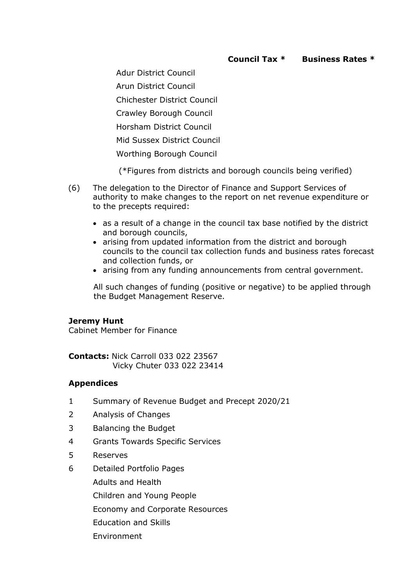Adur District Council

Arun District Council

Chichester District Council

Crawley Borough Council

Horsham District Council

Mid Sussex District Council

Worthing Borough Council

(\*Figures from districts and borough councils being verified)

- (6) The delegation to the Director of Finance and Support Services of authority to make changes to the report on net revenue expenditure or to the precepts required:
	- as a result of a change in the council tax base notified by the district and borough councils,
	- arising from updated information from the district and borough councils to the council tax collection funds and business rates forecast and collection funds, or
	- arising from any funding announcements from central government.

All such changes of funding (positive or negative) to be applied through the Budget Management Reserve.

### **Jeremy Hunt**

Cabinet Member for Finance

**Contacts:** Nick Carroll 033 022 23567 Vicky Chuter 033 022 23414

## **Appendices**

- 1 Summary of Revenue Budget and Precept 2020/21
- 2 Analysis of Changes
- 3 Balancing the Budget
- 4 Grants Towards Specific Services
- 5 Reserves
- 6 Detailed Portfolio Pages
	- Adults and Health

Children and Young People

Economy and Corporate Resources

- Education and Skills
- Environment